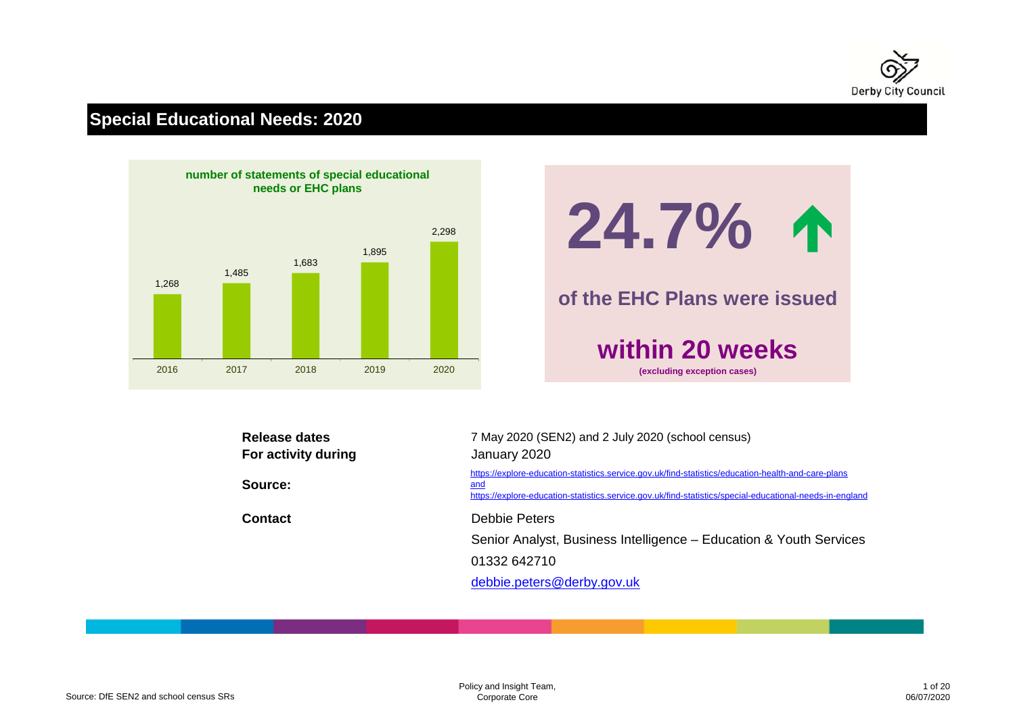

# **Special Educational Needs: 2020**





| <b>Release dates</b> | 7 May 2020 (SEN2) and 2 July 2020 (school census)                                                                                                                                                                      |
|----------------------|------------------------------------------------------------------------------------------------------------------------------------------------------------------------------------------------------------------------|
| For activity during  | January 2020                                                                                                                                                                                                           |
| Source:              | https://explore-education-statistics.service.gov.uk/find-statistics/education-health-and-care-plans<br>and<br>https://explore-education-statistics.service.gov.uk/find-statistics/special-educational-needs-in-england |
| <b>Contact</b>       | Debbie Peters                                                                                                                                                                                                          |
|                      | Senior Analyst, Business Intelligence – Education & Youth Services                                                                                                                                                     |
|                      | 01332 642710                                                                                                                                                                                                           |
|                      | debbie.peters@derby.gov.uk                                                                                                                                                                                             |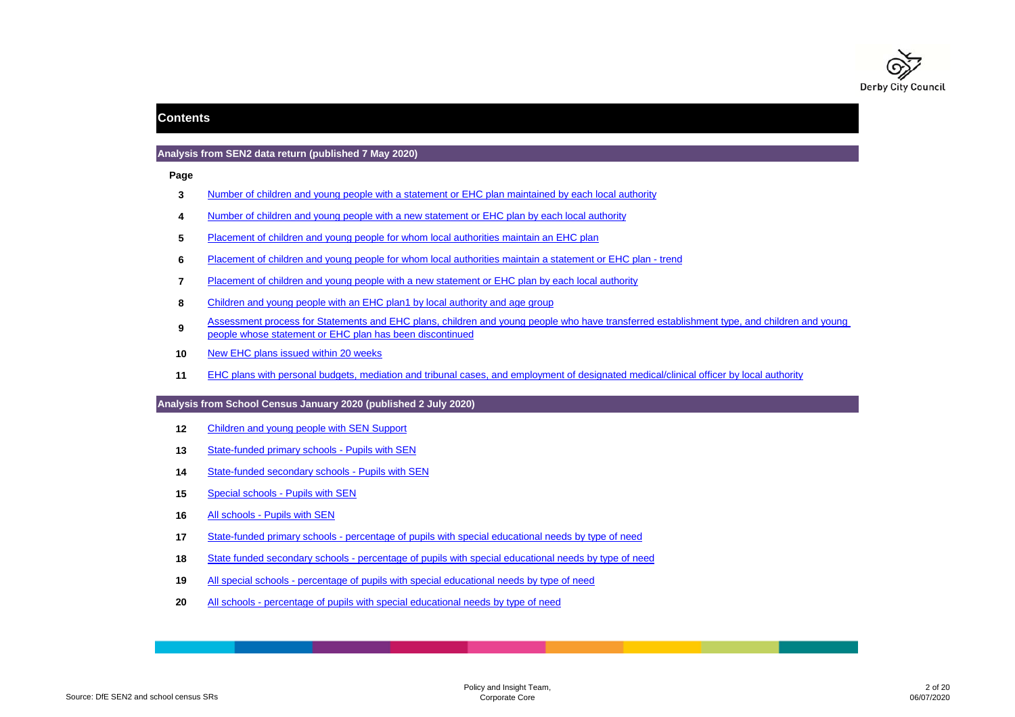

### **Contents**

#### **Analysis from SEN2 data return (published 7 May 2020)**

**Page**

- **3**Number of children and young people with a statement or EHC plan maintained by each local authority
- **4**Number of children and young people with a new statement or EHC plan by each local authority
- **5**Placement of children and young people for whom local authorities maintain an EHC plan
- **6**Placement of children and young people for whom local authorities maintain a statement or EHC plan - trend
- **7**Placement of children and young people with a new statement or EHC plan by each local authority
- **8**Children and young people with an EHC plan1 by local authority and age group
- **9**Assessment process for Statements and EHC plans, children and young people who have transferred establishment type, and children and young people whose statement or EHC plan has been discontinued
- **10**New EHC plans issued within 20 weeks
- **11**EHC plans with personal budgets, mediation and tribunal cases, and employment of designated medical/clinical officer by local authority

#### **Analysis from School Census January 2020 (published 2 July 2020)**

- **12**Children and young people with SEN Support
- **13**State-funded primary schools - Pupils with SEN
- **14**State-funded secondary schools - Pupils with SEN
- **15**Special schools - Pupils with SEN
- **16**All schools - Pupils with SEN
- **17**State-funded primary schools - percentage of pupils with special educational needs by type of need
- **18**State funded secondary schools - percentage of pupils with special educational needs by type of need
- **19**All special schools - percentage of pupils with special educational needs by type of need
- **20**All schools - percentage of pupils with special educational needs by type of need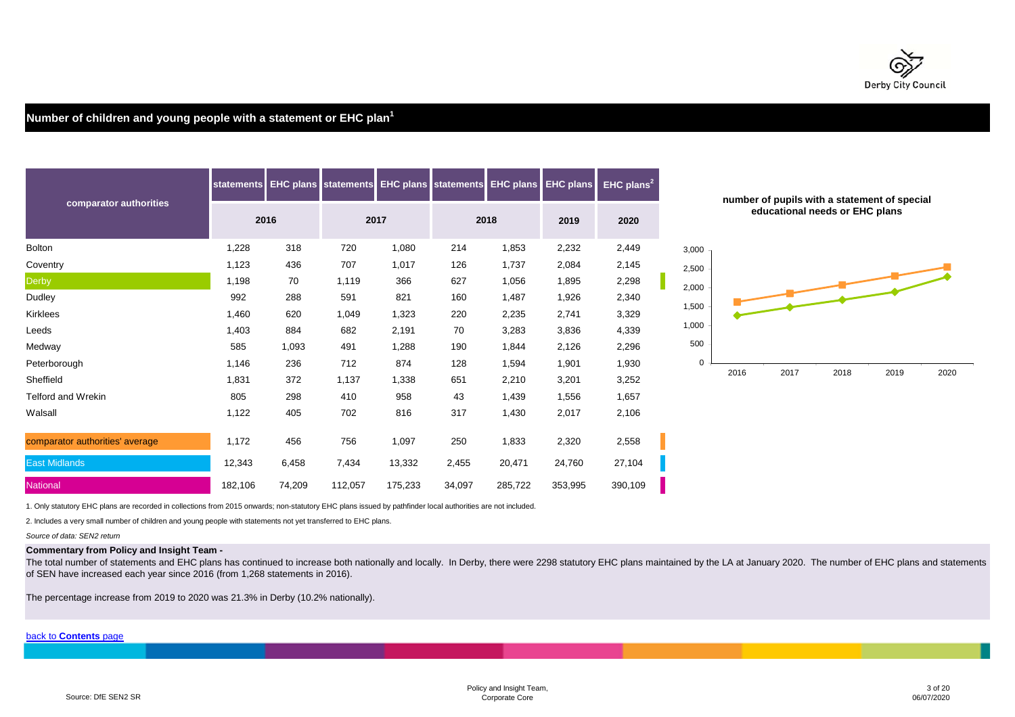

# **Number of children and young people with a statement or EHC plan<sup>1</sup>**

|                                 | <b>statements</b> |        | <b>EHC plans statements EHC plans statements EHC plans</b> |         |        |         | <b>EHC plans</b> | $EHC$ plans <sup>2</sup> |       |      | number of pupils with a staten |      |
|---------------------------------|-------------------|--------|------------------------------------------------------------|---------|--------|---------|------------------|--------------------------|-------|------|--------------------------------|------|
| comparator authorities          |                   | 2016   |                                                            | 2017    |        | 2018    | 2019             | 2020                     |       |      | educational needs or EH        |      |
| <b>Bolton</b>                   | 1,228             | 318    | 720                                                        | 1,080   | 214    | 1,853   | 2,232            | 2,449                    | 3,000 |      |                                |      |
| Coventry                        | 1,123             | 436    | 707                                                        | 1,017   | 126    | 1,737   | 2,084            | 2,145                    | 2,500 |      |                                |      |
| Derby                           | 1,198             | 70     | 1,119                                                      | 366     | 627    | 1,056   | 1,895            | 2,298                    | 2,000 |      |                                |      |
| Dudley                          | 992               | 288    | 591                                                        | 821     | 160    | 1,487   | 1,926            | 2,340                    |       |      |                                |      |
| Kirklees                        | 1,460             | 620    | 1,049                                                      | 1,323   | 220    | 2,235   | 2,741            | 3,329                    | 1,500 |      |                                |      |
| Leeds                           | 1,403             | 884    | 682                                                        | 2,191   | 70     | 3,283   | 3,836            | 4,339                    | 1,000 |      |                                |      |
| Medway                          | 585               | 1,093  | 491                                                        | 1,288   | 190    | 1,844   | 2,126            | 2,296                    | 500   |      |                                |      |
| Peterborough                    | 1,146             | 236    | 712                                                        | 874     | 128    | 1,594   | 1,901            | 1,930                    | 0     |      |                                |      |
| Sheffield                       | 1,831             | 372    | 1,137                                                      | 1,338   | 651    | 2,210   | 3,201            | 3,252                    |       | 2016 | 2017                           | 2018 |
| <b>Telford and Wrekin</b>       | 805               | 298    | 410                                                        | 958     | 43     | 1,439   | 1,556            | 1,657                    |       |      |                                |      |
| Walsall                         | 1,122             | 405    | 702                                                        | 816     | 317    | 1,430   | 2,017            | 2,106                    |       |      |                                |      |
| comparator authorities' average | 1,172             | 456    | 756                                                        | 1,097   | 250    | 1,833   | 2,320            | 2,558                    |       |      |                                |      |
| <b>East Midlands</b>            | 12,343            | 6,458  | 7,434                                                      | 13,332  | 2,455  | 20,471  | 24,760           | 27,104                   |       |      |                                |      |
| <b>National</b>                 | 182,106           | 74,209 | 112,057                                                    | 175,233 | 34,097 | 285,722 | 353,995          | 390,109                  |       |      |                                |      |



1. Only statutory EHC plans are recorded in collections from 2015 onwards; non-statutory EHC plans issued by pathfinder local authorities are not included.

2. Includes a very small number of children and young people with statements not yet transferred to EHC plans.

*Source of data: SEN2 return*

#### **Commentary from Policy and Insight Team -**

The total number of statements and EHC plans has continued to increase both nationally and locally. In Derby, there were 2298 statutory EHC plans maintained by the LA at January 2020. The number of EHC plans and statements of SEN have increased each year since 2016 (from 1,268 statements in 2016).

The percentage increase from 2019 to 2020 was 21.3% in Derby (10.2% nationally).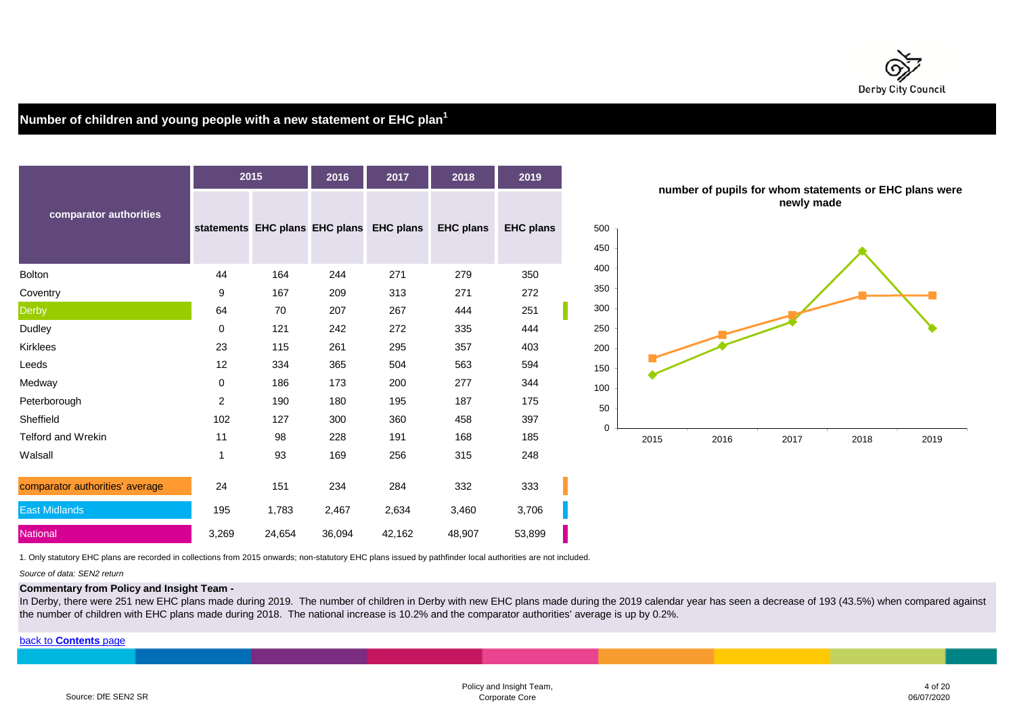

# **Number of children and young people with a new statement or EHC plan<sup>1</sup>**



1. Only statutory EHC plans are recorded in collections from 2015 onwards; non-statutory EHC plans issued by pathfinder local authorities are not included.

*Source of data: SEN2 return*

#### **Commentary from Policy and Insight Team -**

In Derby, there were 251 new EHC plans made during 2019. The number of children in Derby with new EHC plans made during the 2019 calendar year has seen a decrease of 193 (43.5%) when compared against the number of children with EHC plans made during 2018. The national increase is 10.2% and the comparator authorities' average is up by 0.2%.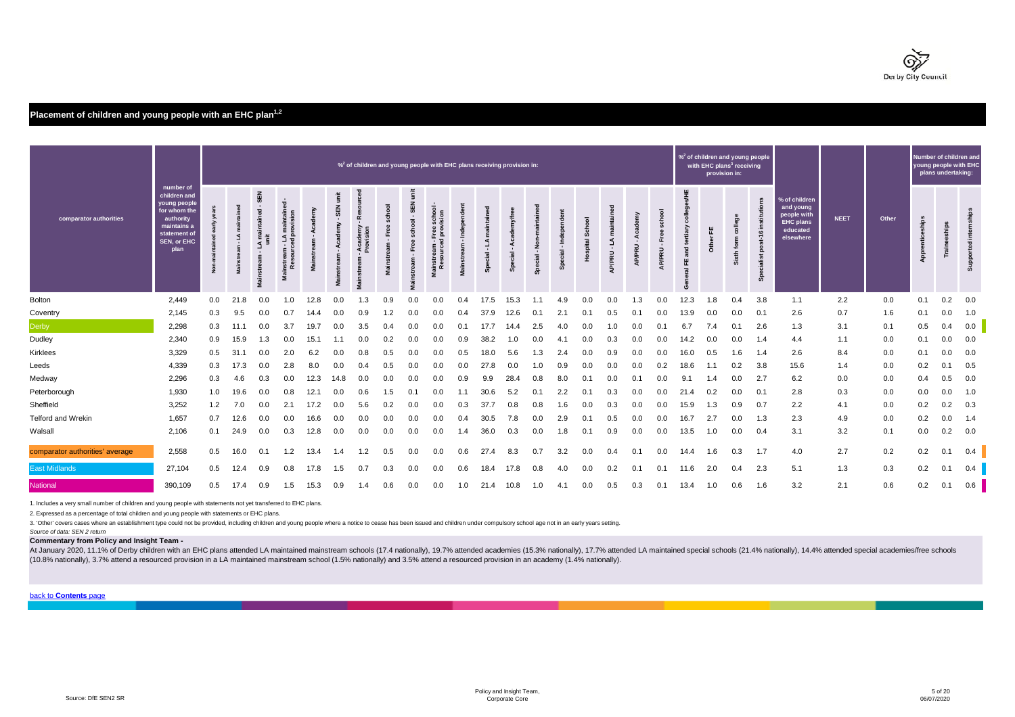

# **Placement of children and young people with an EHC plan1,2**

|                                 |                                                                                                                              |     | $\%$ <sup>2</sup> of children and young people with EHC plans receiving provision in: |                                  |                           |      |                      |                      |                     |                                              |                                      | provision in: | % <sup>2</sup> of children and young people<br>with EHC plans <sup>3</sup> receiving |      |         |                                             |                           | Number of children and<br>young people with EHC | plans undertaking:           |                              |      |                          |                       |                                       |                                                                                        |             |       |                 |       |             |
|---------------------------------|------------------------------------------------------------------------------------------------------------------------------|-----|---------------------------------------------------------------------------------------|----------------------------------|---------------------------|------|----------------------|----------------------|---------------------|----------------------------------------------|--------------------------------------|---------------|--------------------------------------------------------------------------------------|------|---------|---------------------------------------------|---------------------------|-------------------------------------------------|------------------------------|------------------------------|------|--------------------------|-----------------------|---------------------------------------|----------------------------------------------------------------------------------------|-------------|-------|-----------------|-------|-------------|
| comparator authorities          | number of<br>children and<br>young people<br>for whom the<br>authority<br>maintains a<br>statement of<br>SEN, or EHC<br>plan |     |                                                                                       | <b>SEN</b><br>A maintair<br>unit | provis<br>⊇ ভূ<br>٤Ë<br>£ |      | Ë<br><b>SEN</b><br>Σ | Academy<br>Provision | school<br>Free<br>Σ | ţ<br>SEN<br>$\mathbf{r}$<br>ᅙ<br>schoo<br>ш. | ě<br>ទី ខ<br>Free s<br>provi<br>ं हु |               | $\overline{a}$                                                                       |      | ż<br>္တ | 홑<br>$\mathbf{r}$<br>$\overline{a}$<br>୍ଗ୍ର | ್ಯ<br>$\overline{a}$<br>ă | Ë<br>1<br>$\sim$ 100<br><b>UPPRU</b><br>⋖       | ⋖<br>$\blacksquare$<br>P/PRU | ۴e<br>$\mathbf{r}$<br>AP/PRU | 凹    | 뿐<br>≈<br>$\overline{c}$ | g<br>Ε<br>ē<br>Ŀ<br>ä | $\ddot{\tilde{\mathbf{e}}}$<br>ō<br>å | % of children<br>and young<br>people with<br><b>EHC plans</b><br>educated<br>elsewhere | <b>NEET</b> | Other | Apprenticeships | Train | <b>Supp</b> |
| Bolton                          | 2,449                                                                                                                        | 0.0 | 21.8                                                                                  | 0.0                              | $\Omega$                  | 12.8 | 0.0                  | 1.3                  | 0.9                 | 0.0                                          | 0.0                                  | 0.4           | 17.5                                                                                 | 15.3 |         | 4.9                                         | 0.0                       | 0.0                                             | 1.3                          | 0.0                          | 12.3 | .8                       | 0.4                   | 3.8                                   | 1.1                                                                                    | 2.2         | 0.0   | 0.1             | 0.2   | 0.0         |
| Coventry                        | 2,145                                                                                                                        | 0.3 | 9.5                                                                                   | 0.0                              | 0.7                       | 14.4 | 0.0                  | 0.9                  | 1.2                 | 0.0                                          | 0.0                                  | 0.4           | 37.9                                                                                 | 12.6 | 0.1     | 2.1                                         | 0.1                       | 0.5                                             | 0.1                          | 0.0                          | 13.9 | 0.0                      | 0.0                   | 0.1                                   | 2.6                                                                                    | 0.7         | 1.6   | 0.1             | 0.0   | 1.0         |
| <b>Derby</b>                    | 2,298                                                                                                                        | 0.3 | 11.7                                                                                  | 0.0                              | 3.7                       | 19.7 | 0.0                  | 3.5                  | 0.4                 | 0.0                                          | 0.0                                  | 0.1           | 17.7                                                                                 | 14.4 | 2.5     | 4.0                                         | 0.0                       | 1.0                                             | 0.0                          |                              | 6.7  | 7.4                      | 0.1                   | 2.6                                   | 1.3                                                                                    | 3.1         | 0.1   | 0.5             | 0.4   | 0.0         |
| Dudley                          | 2,340                                                                                                                        | 0.9 | 15.9                                                                                  | 1.3                              | 0.0                       | 15.1 |                      | 0.0                  | 0.2                 | 0.0                                          | 0.0                                  | 0.9           | 38.2                                                                                 | 1.0  | 0.0     | 4.1                                         |                           | 0.3                                             |                              | 0.0                          | 14.2 | 0.0                      | 0.0                   | 1.4                                   | 4.4                                                                                    | 1.1         | 0.0   | 0.1             | 0.0   | 0.0         |
| Kirklees                        | 3,329                                                                                                                        | 0.5 | 31.                                                                                   | 0.0                              | 2.0                       | 6.2  | 0.0                  | 0.8                  | 0.5                 | 0.0                                          | 0.0                                  | 0.5           | 18.0                                                                                 | 5.6  | 1.3     | 2.4                                         | 0.0                       | 0.9                                             | 0.0                          | 0.0                          | 16.0 | 0.5                      | 1.6                   | 1.4                                   | 2.6                                                                                    | 8.4         | 0.0   | 0.1             | 0.0   | 0.0         |
| Leeds                           | 4,339                                                                                                                        | 0.3 | 17.3                                                                                  | 0.0                              | 2.8                       | 8.0  | 0.0                  | 0.4                  |                     | 0.0                                          | 0.0                                  | 0.0           | 27.8                                                                                 | 0.0  | 1.0     | 0.9                                         |                           | 0.0                                             |                              | 0.2                          | 18.6 |                          | 0.2                   | 3.8                                   | 15.6                                                                                   | 1.4         | 0.0   | 0.2             | 0.    | 0.5         |
| Medway                          | 2,296                                                                                                                        | 0.3 | 4.6                                                                                   | 0.3                              | 0.0                       | 12.3 | 14.8                 | 0.0                  | 0.0                 | 0.0                                          | 0.0                                  | 0.9           | 9.9                                                                                  | 28.4 | 0.8     | 8.0                                         | 0.1                       | 0.0                                             | 0.1                          | 0.0                          | 9.1  | $\cdot$ 4                | 0.0                   | 2.7                                   | 6.2                                                                                    | 0.0         | 0.0   | 0.4             | 0.5   | 0.0         |
| Peterborough                    | 1,930                                                                                                                        | 1.0 | 19.6                                                                                  | 0.0                              | 0.8                       | 12.1 | 0.0                  | 0.6                  | 1.5                 | 0.1                                          | 0.0                                  | 1.1           | 30.6                                                                                 | 5.2  | 0.1     | 2.2                                         | 0.1                       | 0.3                                             | 0.0                          | 0.0                          | 21.4 | 0.2                      | 0.0                   | 0.1                                   | 2.8                                                                                    | 0.3         | 0.0   | 0.0             | 0.0   | 1.0         |
| Sheffield                       | 3,252                                                                                                                        | 1.2 | 7.0                                                                                   | 0.0                              | 2.1                       | 17.2 | 0.0                  | 5.6                  |                     | 0.0                                          | 0.0                                  | 0.3           | 37.7                                                                                 | 0.8  | 0.8     | 1.6                                         | 0.0                       |                                                 | 0.0                          | 0.0                          | 15.9 | 1.3                      | 0.9                   | 0.7                                   | 2.2                                                                                    | 4.1         | 0.0   | 0.2             | 0.2   | 0.3         |
| Telford and Wrekin              | 1,657                                                                                                                        | 0.7 | 12.6                                                                                  | 0.0                              | 0.0                       | 16.6 | 0.0                  | 0.0                  | 0.0                 | 0.0                                          | 0.0                                  | 0.4           | 30.5                                                                                 | 7.8  | 0.0     | 2.9                                         | 0.1                       | 0.5                                             | 0.0                          | 0.0                          | 16.7 | 2.7                      | 0.0                   | 1.3                                   | 2.3                                                                                    | 4.9         | 0.0   | 0.2             | 0.0   | 1.4         |
| Walsall                         | 2,106                                                                                                                        | 0.1 | 24.9                                                                                  | 0.0                              | 0.3                       | 12.8 | 0.0                  | 0.0                  | 0.0                 | 0.0                                          | 0.0                                  | 1.4           | 36.0                                                                                 | 0.3  | 0.0     | 1.8                                         | 0.1                       | 0.9                                             | 0.0                          | 0.0                          | 13.5 | 1.0                      | 0.0                   | 0.4                                   | 3.1                                                                                    | 3.2         | 0.1   | 0.0             | 0.2   | 0.0         |
| comparator authorities' average | 2,558                                                                                                                        | 0.5 | 16.0                                                                                  | 0.1                              |                           | 13.4 |                      |                      |                     | 0.0                                          | 0.0                                  | 0.6           | 27.4                                                                                 | 8.3  | 0.7     | 3.2                                         | 0.0                       | 0.4                                             |                              | 0.0                          | 14.4 | l.6                      | 0.3                   | 1.7                                   | 4.0                                                                                    | 2.7         | 0.2   | 0.2             | 0.7   | 0.4         |
| <b>East Midlands</b>            | 27,104                                                                                                                       | 0.5 | 12.4                                                                                  | 0.9                              | 0.8                       | 17.8 | 1.5                  | 0.7                  | 0.3                 | 0.0                                          | 0.0                                  | 0.6           | 18.4                                                                                 | 17.8 | 0.8     | 4.0                                         | 0.0                       | 0.2                                             | 0.1                          | 0.1                          | 11.6 | 2.0                      | 0.4                   | 2.3                                   | 5.1                                                                                    | 1.3         | 0.3   | 0.2             | 0.2   | 0.4         |
| <b>National</b>                 | 390,109                                                                                                                      | 0.5 | 17.4                                                                                  | 0.9                              | 1.5                       | 15.3 | 0.9                  | 1.4                  | 0.6                 | 0.0                                          | 0.0                                  | 1.0           | 21.4                                                                                 | 10.8 | 1.0     | 4.1                                         | 0.0                       | 0.5                                             | 0.3                          | 0.1                          | 13.4 | 1.0                      | 0.6                   | 1.6                                   | 3.2                                                                                    | 2.1         | 0.6   | 0.2             | 0.1   | 0.6         |

1. Includes a very small number of children and young people with statements not yet transferred to EHC plans.

2. Expressed as a percentage of total children and young people with statements or EHC plans.

3. 'Other' covers cases where an establishment type could not be provided, including children and young people where a notice to cease has been issued and children under compulsory school age not in an early years setting.

*Source of data: SEN 2 return*

**Commentary from Policy and Insight Team -** 

At January 2020, 11.1% of Derby children with an EHC plans attended LA maintained mainstream schools (17.4 nationally), 19.7% attended academies (15.3% nationally), 17.7% attended LA maintained special schools (21.4% natio (10.8% nationally), 3.7% attend a resourced provision in a LA maintained mainstream school (1.5% nationally) and 3.5% attend a resourced provision in an academy (1.4% nationally).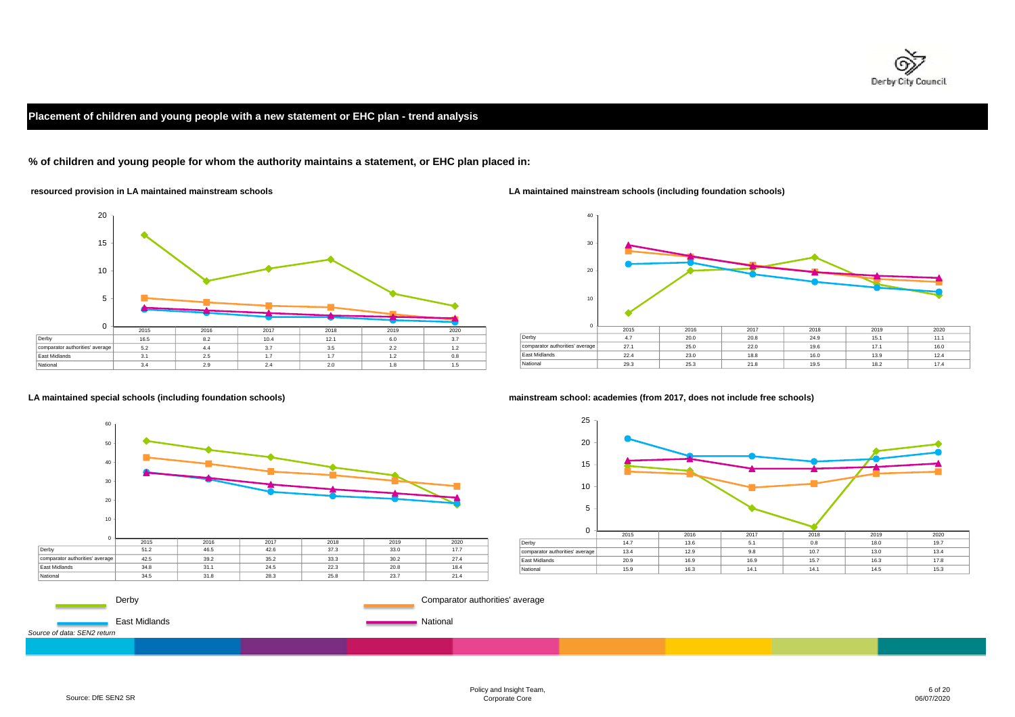

# **Placement of children and young people with a new statement or EHC plan - trend analysis**

**% of children and young people for whom the authority maintains a statement, or EHC plan placed in:**



 **resourced provision in LA maintained mainstream schools LA maintained mainstream schools (including foundation schools)**





**LA maintained special schools (including foundation schools) mainstream school: academies (from 2017, does not include free schools)**

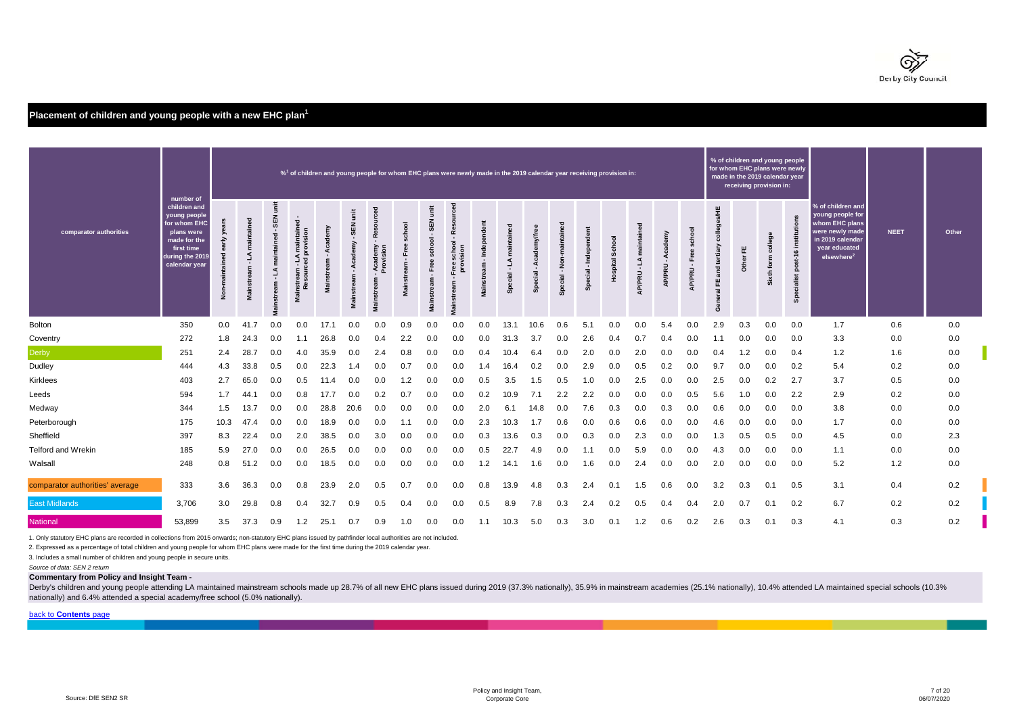

# **Placement of children and young people with a new EHC plan<sup>1</sup>**

|                                 | number of                                                                                                                    | $\frac{1}{20}$ of children and young people for whom EHC plans were newly made in the 2019 calendar year receiving provision in: |                                    |                          |                                                         |        |                                          |                                                                  |                       |                                                                                                                    | % of children and young people<br>for whom EHC plans were newly<br>made in the 2019 calendar year<br>receiving provision in: |                           |                |                                |                                        |                       |                 |                                  |        |             |                                       |            |                          |                                           |                                                                                                                                           |             |       |
|---------------------------------|------------------------------------------------------------------------------------------------------------------------------|----------------------------------------------------------------------------------------------------------------------------------|------------------------------------|--------------------------|---------------------------------------------------------|--------|------------------------------------------|------------------------------------------------------------------|-----------------------|--------------------------------------------------------------------------------------------------------------------|------------------------------------------------------------------------------------------------------------------------------|---------------------------|----------------|--------------------------------|----------------------------------------|-----------------------|-----------------|----------------------------------|--------|-------------|---------------------------------------|------------|--------------------------|-------------------------------------------|-------------------------------------------------------------------------------------------------------------------------------------------|-------------|-------|
| comparator authorities          | children and<br>young people<br>for whom EHC<br>plans were<br>made for the<br>first time<br>during the 2019<br>calendar vear | ደ<br>Non-m                                                                                                                       | ॾ<br>maintain<br>Ľ<br>$\mathbf{r}$ | Ë<br>SEN<br>᠊ᠣ<br>intain | maintained -<br>rovision<br>ā<br>٤<br>ಕ<br>stream<br>ΝR | È<br>Ë | š<br>띪<br>$\blacksquare$<br>Academy<br>š | ced<br>Resour<br>emy<br>sion<br>cader<br>rovisi<br>eam<br>Viain: | school<br>Ĕ<br>stream | $\ddot{\tilde{\mathsf{s}}}$<br>SEN <sub></sub><br>$\mathbf{r}$<br>school<br>Free<br>$\mathbf{r}$<br>eam<br>Mainstr | <b>Pe</b><br>$\mathbf{r}$<br>school<br>vision<br>ě<br>m                                                                      | 혼<br>- Inde<br>Mainstream | ۹j.<br>Special | Aca<br>$\mathbf{r}$<br>Special | $rac{6}{2}$<br>$\mathbf{r}$<br>Special | $\overline{a}$<br>Spe | spital Sch<br>우 | ε<br>L<br>$\mathbf{u}$<br>AP/PRU | AP/PRU | ह<br>AP/PRU | S/HE<br>colleges<br>ζĭ<br>콛<br>뿐<br>ē | 뿐<br>Other | college<br>form<br>Sixth | institu<br>$6+16$<br>sod<br>ecialist<br>ஃ | % of children and<br>young people for<br>whom EHC plans<br>were newly made<br>in 2019 calendar<br>vear educated<br>elsewhere <sup>2</sup> | <b>NEET</b> | Other |
| Bolton                          | 350                                                                                                                          | 0.0                                                                                                                              | 41.7                               | 0.0                      | 0.0                                                     | 17.1   | 0.0                                      | 0.0                                                              | 0.9                   | 0.0                                                                                                                | 0.0                                                                                                                          | 0.0                       | 13.1           | 10.6                           | 0.6                                    | 5.1                   | 0.0             | 0.0                              | 5.4    | 0.0         | 2.9                                   | 0.3        | 0.0                      | 0.0                                       | 1.7                                                                                                                                       | 0.6         | 0.0   |
| Coventry                        | 272                                                                                                                          | 1.8                                                                                                                              | 24.3                               | 0.0                      | 1.1                                                     | 26.8   | 0.0                                      | 0.4                                                              | 2.2                   | 0.0                                                                                                                | 0.0                                                                                                                          | 0.0                       | 31.3           | 3.7                            | 0.0                                    | 2.6                   | 0.4             | 0.7                              | 0.4    | 0.0         |                                       | 0.0        | 0.0                      | 0.0                                       | 3.3                                                                                                                                       | 0.0         | 0.0   |
| Derby                           | 251                                                                                                                          | $2.4^{\circ}$                                                                                                                    | 28.7                               | 0.0                      | 4.0                                                     | 35.9   | 0.0                                      | 2.4                                                              | 0.8                   | 0.0                                                                                                                | 0.0                                                                                                                          | 0.4                       | 10.4           | 6.4                            | 0.0                                    | 2.0                   | 0.0             | 2.0                              | 0.0    | 0.0         | 0.4                                   | 1.2        | 0.0                      | 0.4                                       | 1.2                                                                                                                                       | 1.6         | 0.0   |
| Dudley                          | 444                                                                                                                          | 4.3                                                                                                                              | 33.8                               | 0.5                      | 0.0                                                     | 22.3   | 1.4                                      | 0.0                                                              | 0.7                   | 0.0                                                                                                                | 0.0                                                                                                                          | 1.4                       | 16.4           | 0.2                            | 0.0                                    | 2.9                   | 0.0             | 0.5                              | 0.2    | 0.0         | 9.7                                   | 0.0        | 0.0                      | 0.2                                       | 5.4                                                                                                                                       | 0.2         | 0.0   |
| <b>Kirklees</b>                 | 403                                                                                                                          | 2.7                                                                                                                              | 65.0                               | 0.0                      | 0.5                                                     | 11.4   | 0.0                                      | 0.0                                                              | 1.2                   | 0.0                                                                                                                | 0.0                                                                                                                          | 0.5                       | 3.5            | 1.5                            | 0.5                                    | 1.0                   | 0.0             | 2.5                              | 0.0    | 0.0         | 2.5                                   | 0.0        | 0.2                      | 2.7                                       | 3.7                                                                                                                                       | 0.5         | 0.0   |
| Leeds                           | 594                                                                                                                          | 1.7                                                                                                                              | 44.                                | 0.0                      | 0.8                                                     | 17.7   | 0.0                                      | 0.2                                                              | 0.7                   | 0.0                                                                                                                | 0.0                                                                                                                          | 0.2                       | 10.9           | 7.1                            | 2.2                                    | 2.2                   | 0.0             | 0.0                              | 0.0    | 0.5         | 5.6                                   | 1.0        | 0.0                      | 2.2                                       | 2.9                                                                                                                                       | 0.2         | 0.0   |
| Medway                          | 344                                                                                                                          | 1.5                                                                                                                              | 13.7                               | 0.0                      | 0.0                                                     | 28.8   | 20.6                                     | 0.0                                                              | 0.0                   | 0.0                                                                                                                | 0.0                                                                                                                          | 2.0                       | 6.1            | 14.8                           | 0.0                                    | 7.6                   | 0.3             | 0.0                              | 0.3    | 0.0         | 0.6                                   | 0.0        | 0.0                      | 0.0                                       | 3.8                                                                                                                                       | 0.0         | 0.0   |
| Peterborough                    | 175                                                                                                                          | 10.3                                                                                                                             | 47.4                               | 0.0                      | 0.0                                                     | 18.9   | 0.0                                      | 0.0                                                              | 1.1                   | 0.0                                                                                                                | 0.0                                                                                                                          | 2.3                       | 10.3           | 1.7                            | 0.6                                    | 0.0                   | 0.6             | 0.6                              | 0.0    | 0.0         | 4.6                                   | 0.0        | 0.0                      | 0.0                                       | 1.7                                                                                                                                       | 0.0         | 0.0   |
| Sheffield                       | 397                                                                                                                          | 8.3                                                                                                                              | 22.4                               | 0.0                      | 2.0                                                     | 38.5   | 0.0                                      | 3.0                                                              | 0.0                   | 0.0                                                                                                                | 0.0                                                                                                                          | 0.3                       | 13.6           | 0.3                            | 0.0                                    | 0.3                   | 0.0             | 2.3                              | 0.0    | 0.0         | 1.3                                   | 0.5        | 0.5                      | 0.0                                       | 4.5                                                                                                                                       | 0.0         | 2.3   |
| Telford and Wrekin              | 185                                                                                                                          | 5.9                                                                                                                              | 27.0                               | 0.0                      | 0.0                                                     | 26.5   | 0.0                                      | 0.0                                                              | 0.0                   | 0.0                                                                                                                | 0.0                                                                                                                          | 0.5                       | 22.7           | 4.9                            | 0.0                                    | 1.1                   | 0.0             | 5.9                              | 0.0    | 0.0         | 4.3                                   | 0.0        | 0.0                      | 0.0                                       | 1.1                                                                                                                                       | 0.0         | 0.0   |
| Walsall                         | 248                                                                                                                          | 0.8                                                                                                                              | 51.2                               | 0.0                      | 0.0                                                     | 18.5   | 0.0                                      | 0.0                                                              | 0.0                   | 0.0                                                                                                                | 0.0                                                                                                                          | $\overline{2}$            | 14.1           | 1.6                            | 0.0                                    | 1.6                   | 0.0             | 2.4                              | 0.0    | 0.0         | 2.0                                   | 0.0        | 0.0                      | 0.0                                       | 5.2                                                                                                                                       | 1.2         | 0.0   |
| comparator authorities' average | 333                                                                                                                          | 3.6                                                                                                                              | 36.3                               | 0.0                      | 0.8                                                     | 23.9   | 2.0                                      | 0.5                                                              | 0.7                   | 0.0                                                                                                                | 0.0                                                                                                                          | 0.8                       | 13.9           | 4.8                            | 0.3                                    | 2.4                   | 0.1             | 1.5                              | 0.6    | 0.0         | 3.2                                   | 0.3        | 0.1                      | 0.5                                       | 3.1                                                                                                                                       | 0.4         | 0.2   |
| <b>East Midlands</b>            | 3,706                                                                                                                        | 3.0                                                                                                                              | 29.8                               | 0.8                      | 0.4                                                     | 32.7   | 0.9                                      | 0.5                                                              | 0.4                   | 0.0                                                                                                                | 0.0                                                                                                                          | 0.5                       | 8.9            | 7.8                            | 0.3                                    | 2.4                   | 0.2             | 0.5                              | 0.4    | 0.4         | 2.0                                   | 0.7        | 0.1                      | 0.2                                       | 6.7                                                                                                                                       | 0.2         | 0.2   |
| <b>National</b>                 | 53,899                                                                                                                       | 3.5                                                                                                                              | 37.3                               | 0.9                      | 1.2                                                     | 25.1   | 0.7                                      | 0.9                                                              | 1.0                   | 0.0                                                                                                                | 0.0                                                                                                                          | 1.1                       | 10.3           | 5.0                            | 0.3                                    | 3.0                   | 0.1             | 1.2                              | 0.6    | 0.2         | 2.6                                   | 0.3        | 0.1                      | 0.3                                       | 4.1                                                                                                                                       | 0.3         | 0.2   |

1. Only statutory EHC plans are recorded in collections from 2015 onwards; non-statutory EHC plans issued by pathfinder local authorities are not included.

2. Expressed as a percentage of total children and young people for whom EHC plans were made for the first time during the 2019 calendar year.

3. Includes a small number of children and young people in secure units.

*Source of data: SEN 2 return*

#### **Commentary from Policy and Insight Team -**

Derby's children and young people attending LA maintained mainstream schools made up 28.7% of all new EHC plans issued during 2019 (37.3% nationally), 35.9% in mainstream academies (25.1% nationally), 10.4% attended LA mai nationally) and 6.4% attended a special academy/free school (5.0% nationally).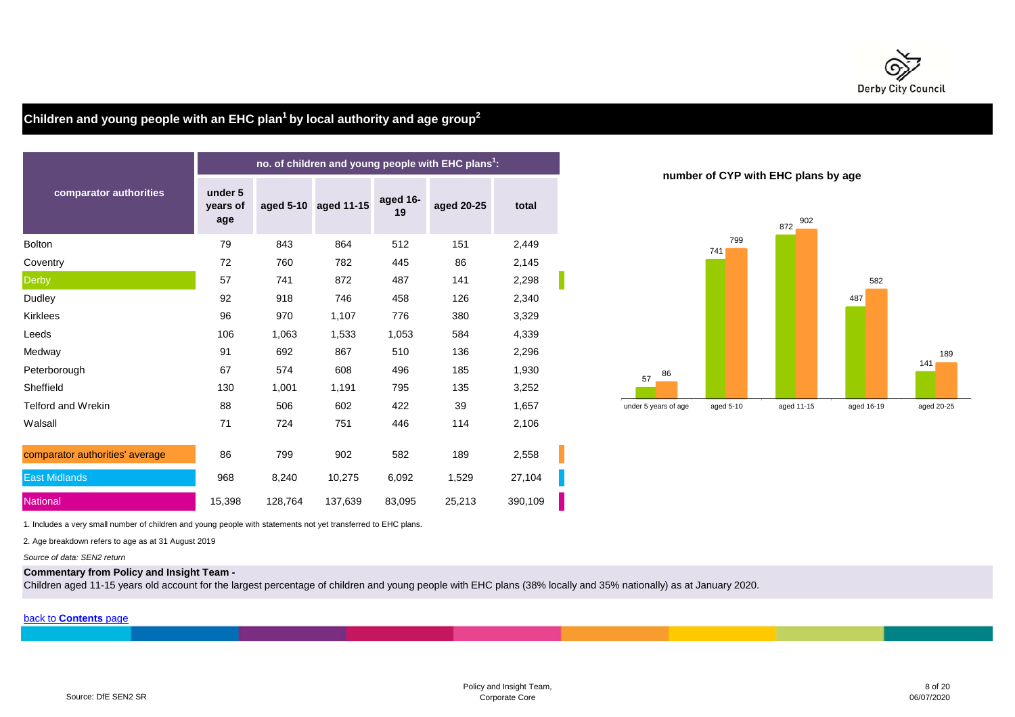

# **Children and young people with an EHC plan1 by local authority and age group2**

|                                 |                            |         |                      |                | no. of children and young people with EHC plans <sup>1</sup> : |         |                      |                            |                |
|---------------------------------|----------------------------|---------|----------------------|----------------|----------------------------------------------------------------|---------|----------------------|----------------------------|----------------|
| comparator authorities          | under 5<br>years of<br>age |         | aged 5-10 aged 11-15 | aged 16-<br>19 | aged 20-25                                                     | total   |                      | number of CYP with EHC pla | $872 \t.$ $90$ |
| <b>Bolton</b>                   | 79                         | 843     | 864                  | 512            | 151                                                            | 2,449   |                      | 799<br>741                 |                |
| Coventry                        | 72                         | 760     | 782                  | 445            | 86                                                             | 2,145   |                      |                            |                |
| <b>Derby</b>                    | 57                         | 741     | 872                  | 487            | 141                                                            | 2,298   |                      |                            |                |
| Dudley                          | 92                         | 918     | 746                  | 458            | 126                                                            | 2,340   |                      |                            |                |
| Kirklees                        | 96                         | 970     | 1,107                | 776            | 380                                                            | 3,329   |                      |                            |                |
| Leeds                           | 106                        | 1,063   | 1,533                | 1,053          | 584                                                            | 4,339   |                      |                            |                |
| Medway                          | 91                         | 692     | 867                  | 510            | 136                                                            | 2,296   |                      |                            |                |
| Peterborough                    | 67                         | 574     | 608                  | 496            | 185                                                            | 1,930   | 86<br>57             |                            |                |
| Sheffield                       | 130                        | 1,001   | 1,191                | 795            | 135                                                            | 3,252   |                      |                            |                |
| Telford and Wrekin              | 88                         | 506     | 602                  | 422            | 39                                                             | 1,657   | under 5 years of age | aged 5-10                  | aged 11-1      |
| Walsall                         | 71                         | 724     | 751                  | 446            | 114                                                            | 2,106   |                      |                            |                |
| comparator authorities' average | 86                         | 799     | 902                  | 582            | 189                                                            | 2,558   |                      |                            |                |
| <b>East Midlands</b>            | 968                        | 8,240   | 10,275               | 6,092          | 1,529                                                          | 27,104  |                      |                            |                |
| National                        | 15,398                     | 128,764 | 137,639              | 83,095         | 25,213                                                         | 390,109 |                      |                            |                |

**number of CYP with EHC plans by age**



1. Includes a very small number of children and young people with statements not yet transferred to EHC plans.

2. Age breakdown refers to age as at 31 August 2019

*Source of data: SEN2 return*

### **Commentary from Policy and Insight Team -**

Children aged 11-15 years old account for the largest percentage of children and young people with EHC plans (38% locally and 35% nationally) as at January 2020.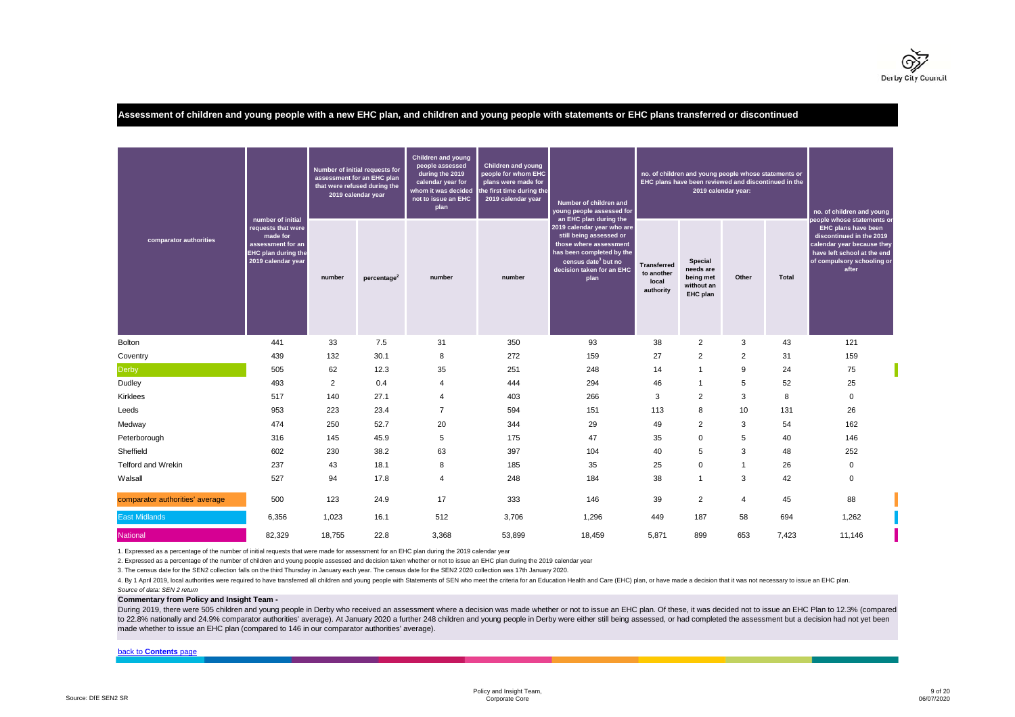

**Assessment of children and young people with a new EHC plan, and children and young people with statements or EHC plans transferred or discontinued**

|                                 | number of initial                                                                                       |        | Number of initial requests for<br>assessment for an EHC plan<br>that were refused during the<br>2019 calendar year | <b>Children and young</b><br>people assessed<br>during the 2019<br>calendar year for<br>whom it was decided<br>not to issue an EHC<br>plan | <b>Children and young</b><br>people for whom EHC<br>plans were made for<br>the first time during the<br>2019 calendar year | Number of children and<br>young people assessed for<br>an EHC plan during the                                                                                                        |                                                        | no. of children and young people whose statements or<br>EHC plans have been reviewed and discontinued in the<br>2019 calendar year: |                |       | no. of children and young<br>people whose statements or                                                                                             |
|---------------------------------|---------------------------------------------------------------------------------------------------------|--------|--------------------------------------------------------------------------------------------------------------------|--------------------------------------------------------------------------------------------------------------------------------------------|----------------------------------------------------------------------------------------------------------------------------|--------------------------------------------------------------------------------------------------------------------------------------------------------------------------------------|--------------------------------------------------------|-------------------------------------------------------------------------------------------------------------------------------------|----------------|-------|-----------------------------------------------------------------------------------------------------------------------------------------------------|
| comparator authorities          | requests that were<br>made for<br>assessment for an<br><b>EHC</b> plan during the<br>2019 calendar year | number | percentage <sup>2</sup>                                                                                            | number                                                                                                                                     | number                                                                                                                     | 2019 calendar year who are<br>still being assessed or<br>those where assessment<br>has been completed by the<br>census date <sup>3</sup> but no<br>decision taken for an EHC<br>plan | <b>Transferred</b><br>to another<br>local<br>authority | <b>Special</b><br>needs are<br>being met<br>without an<br>EHC plan                                                                  | Other          | Total | EHC plans have been<br>discontinued in the 2019<br>calendar year because they<br>have left school at the end<br>of compulsory schooling or<br>after |
| Bolton                          | 441                                                                                                     | 33     | 7.5                                                                                                                | 31                                                                                                                                         | 350                                                                                                                        | 93                                                                                                                                                                                   | 38                                                     | $\overline{2}$                                                                                                                      | 3              | 43    | 121                                                                                                                                                 |
| Coventry                        | 439                                                                                                     | 132    | 30.1                                                                                                               | 8                                                                                                                                          | 272                                                                                                                        | 159                                                                                                                                                                                  | 27                                                     | $\overline{2}$                                                                                                                      | $\overline{2}$ | 31    | 159                                                                                                                                                 |
| <b>Derby</b>                    | 505                                                                                                     | 62     | 12.3                                                                                                               | 35                                                                                                                                         | 251                                                                                                                        | 248                                                                                                                                                                                  | 14                                                     | $\mathbf{1}$                                                                                                                        | 9              | 24    | 75                                                                                                                                                  |
| Dudley                          | 493                                                                                                     | 2      | 0.4                                                                                                                | $\overline{4}$                                                                                                                             | 444                                                                                                                        | 294                                                                                                                                                                                  | 46                                                     | $\mathbf 1$                                                                                                                         | 5              | 52    | 25                                                                                                                                                  |
| Kirklees                        | 517                                                                                                     | 140    | 27.1                                                                                                               | $\overline{4}$                                                                                                                             | 403                                                                                                                        | 266                                                                                                                                                                                  | 3                                                      | $\overline{2}$                                                                                                                      | 3              | 8     | 0                                                                                                                                                   |
| Leeds                           | 953                                                                                                     | 223    | 23.4                                                                                                               | $\overline{7}$                                                                                                                             | 594                                                                                                                        | 151                                                                                                                                                                                  | 113                                                    | 8                                                                                                                                   | 10             | 131   | 26                                                                                                                                                  |
| Medway                          | 474                                                                                                     | 250    | 52.7                                                                                                               | 20                                                                                                                                         | 344                                                                                                                        | 29                                                                                                                                                                                   | 49                                                     | 2                                                                                                                                   | 3              | 54    | 162                                                                                                                                                 |
| Peterborough                    | 316                                                                                                     | 145    | 45.9                                                                                                               | 5                                                                                                                                          | 175                                                                                                                        | 47                                                                                                                                                                                   | 35                                                     | $\mathbf 0$                                                                                                                         | 5              | 40    | 146                                                                                                                                                 |
| Sheffield                       | 602                                                                                                     | 230    | 38.2                                                                                                               | 63                                                                                                                                         | 397                                                                                                                        | 104                                                                                                                                                                                  | 40                                                     | 5                                                                                                                                   | 3              | 48    | 252                                                                                                                                                 |
| Telford and Wrekin              | 237                                                                                                     | 43     | 18.1                                                                                                               | 8                                                                                                                                          | 185                                                                                                                        | 35                                                                                                                                                                                   | 25                                                     | $\mathbf 0$                                                                                                                         | 1              | 26    | 0                                                                                                                                                   |
| Walsall                         | 527                                                                                                     | 94     | 17.8                                                                                                               | $\overline{4}$                                                                                                                             | 248                                                                                                                        | 184                                                                                                                                                                                  | 38                                                     | $\overline{1}$                                                                                                                      | 3              | 42    | 0                                                                                                                                                   |
| comparator authorities' average | 500                                                                                                     | 123    | 24.9                                                                                                               | 17                                                                                                                                         | 333                                                                                                                        | 146                                                                                                                                                                                  | 39                                                     | 2                                                                                                                                   | 4              | 45    | 88                                                                                                                                                  |
| <b>East Midlands</b>            | 6,356                                                                                                   | 1,023  | 16.1                                                                                                               | 512                                                                                                                                        | 3,706                                                                                                                      | 1,296                                                                                                                                                                                | 449                                                    | 187                                                                                                                                 | 58             | 694   | 1,262                                                                                                                                               |
| <b>National</b>                 | 82,329                                                                                                  | 18,755 | 22.8                                                                                                               | 3,368                                                                                                                                      | 53,899                                                                                                                     | 18,459                                                                                                                                                                               | 5,871                                                  | 899                                                                                                                                 | 653            | 7,423 | 11,146                                                                                                                                              |

1. Expressed as a percentage of the number of initial requests that were made for assessment for an EHC plan during the 2019 calendar year

2. Expressed as a percentage of the number of children and young people assessed and decision taken whether or not to issue an EHC plan during the 2019 calendar year

3. The census date for the SEN2 collection falls on the third Thursday in January each year. The census date for the SEN2 2020 collection was 17th January 2020.

4. By 1 April 2019, local authorities were required to have transferred all children and young people with Statements of SEN who meet the criteria for an Education Health and Care (EHC) plan, or have made a decision that i *Source of data: SEN 2 return*

**Commentary from Policy and Insight Team -** 

During 2019, there were 505 children and young people in Derby who received an assessment where a decision was made whether or not to issue an EHC plan. Of these, it was decided not to issue an EHC Plan to 12.3% (compared to 22.8% nationally and 24.9% comparator authorities' average). At January 2020 a further 248 children and young people in Derby were either still being assessed, or had completed the assessment but a decision had not yet made whether to issue an EHC plan (compared to 146 in our comparator authorities' average).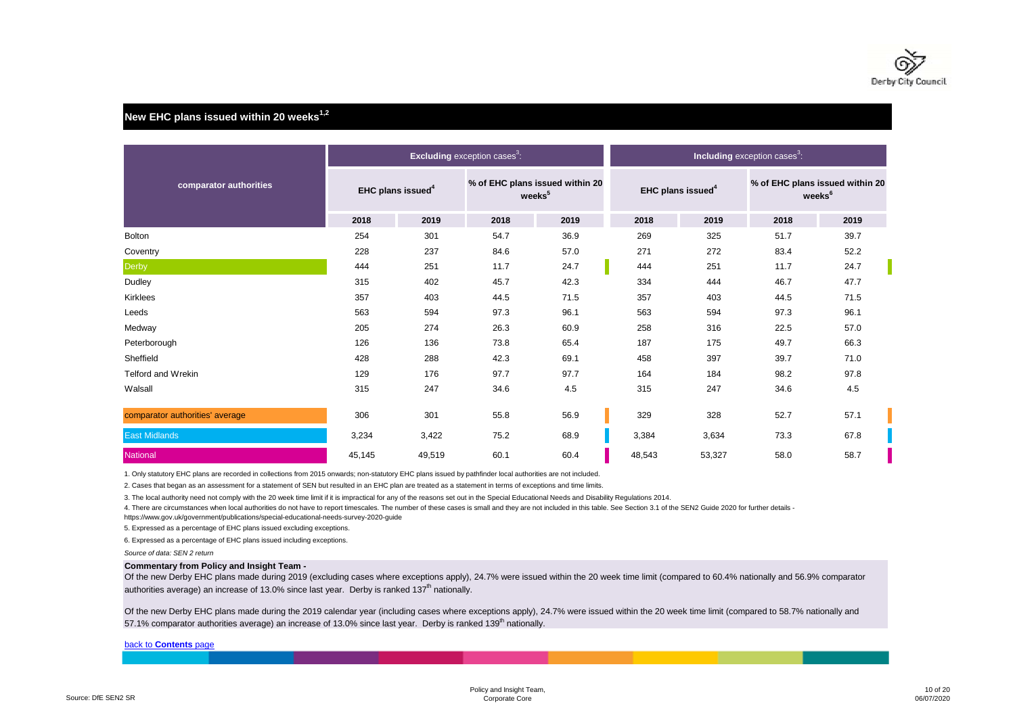

# **New EHC plans issued within 20 weeks1,2**

|                                 |        |                               | <b>Excluding</b> exception cases <sup>3</sup> : |                                                       |                               |        | Including exception cases <sup>3</sup> : |                                                       |
|---------------------------------|--------|-------------------------------|-------------------------------------------------|-------------------------------------------------------|-------------------------------|--------|------------------------------------------|-------------------------------------------------------|
| comparator authorities          |        | EHC plans issued <sup>4</sup> |                                                 | % of EHC plans issued within 20<br>weeks <sup>5</sup> | EHC plans issued <sup>4</sup> |        |                                          | % of EHC plans issued within 20<br>weeks <sup>6</sup> |
|                                 | 2018   | 2019                          | 2018                                            | 2019                                                  | 2018                          | 2019   | 2018                                     | 2019                                                  |
| <b>Bolton</b>                   | 254    | 301                           | 54.7                                            | 36.9                                                  | 269                           | 325    | 51.7                                     | 39.7                                                  |
| Coventry                        | 228    | 237                           | 84.6                                            | 57.0                                                  | 271                           | 272    | 83.4                                     | 52.2                                                  |
| <b>Derby</b>                    | 444    | 251                           | 11.7                                            | 24.7                                                  | 444                           | 251    | 11.7                                     | 24.7                                                  |
| Dudley                          | 315    | 402                           | 45.7                                            | 42.3                                                  | 334                           | 444    | 46.7                                     | 47.7                                                  |
| <b>Kirklees</b>                 | 357    | 403                           | 44.5                                            | 71.5                                                  | 357                           | 403    | 44.5                                     | 71.5                                                  |
| Leeds                           | 563    | 594                           | 97.3                                            | 96.1                                                  | 563                           | 594    | 97.3                                     | 96.1                                                  |
| Medway                          | 205    | 274                           | 26.3                                            | 60.9                                                  | 258                           | 316    | 22.5                                     | 57.0                                                  |
| Peterborough                    | 126    | 136                           | 73.8                                            | 65.4                                                  | 187                           | 175    | 49.7                                     | 66.3                                                  |
| Sheffield                       | 428    | 288                           | 42.3                                            | 69.1                                                  | 458                           | 397    | 39.7                                     | 71.0                                                  |
| <b>Telford and Wrekin</b>       | 129    | 176                           | 97.7                                            | 97.7                                                  | 164                           | 184    | 98.2                                     | 97.8                                                  |
| Walsall                         | 315    | 247                           | 34.6                                            | 4.5                                                   | 315                           | 247    | 34.6                                     | 4.5                                                   |
| comparator authorities' average | 306    | 301                           | 55.8                                            | 56.9                                                  | 329                           | 328    | 52.7                                     | 57.1                                                  |
| <b>East Midlands</b>            | 3,234  | 3,422                         | 75.2                                            | 68.9                                                  | 3,384                         | 3,634  | 73.3                                     | 67.8                                                  |
| <b>National</b>                 | 45,145 | 49,519                        | 60.1                                            | 60.4                                                  | 48,543                        | 53,327 | 58.0                                     | 58.7                                                  |

1. Only statutory EHC plans are recorded in collections from 2015 onwards; non-statutory EHC plans issued by pathfinder local authorities are not included.

2. Cases that began as an assessment for a statement of SEN but resulted in an EHC plan are treated as a statement in terms of exceptions and time limits.

3. The local authority need not comply with the 20 week time limit if it is impractical for any of the reasons set out in the Special Educational Needs and Disability Regulations 2014.

4. There are circumstances when local authorities do not have to report timescales. The number of these cases is small and they are not included in this table. See Section 3.1 of the SEN2 Guide 2020 for further details -

https://www.gov.uk/government/publications/special-educational-needs-survey-2020-guide

5. Expressed as a percentage of EHC plans issued excluding exceptions.

6. Expressed as a percentage of EHC plans issued including exceptions.

*Source of data: SEN 2 return*

#### **Commentary from Policy and Insight Team -**

Of the new Derby EHC plans made during 2019 (excluding cases where exceptions apply), 24.7% were issued within the 20 week time limit (compared to 60.4% nationally and 56.9% comparator authorities average) an increase of 13.0% since last year. Derby is ranked 137<sup>th</sup> nationally.

Of the new Derby EHC plans made during the 2019 calendar year (including cases where exceptions apply), 24.7% were issued within the 20 week time limit (compared to 58.7% nationally and 57.1% comparator authorities average) an increase of 13.0% since last year. Derby is ranked 139<sup>th</sup> nationally.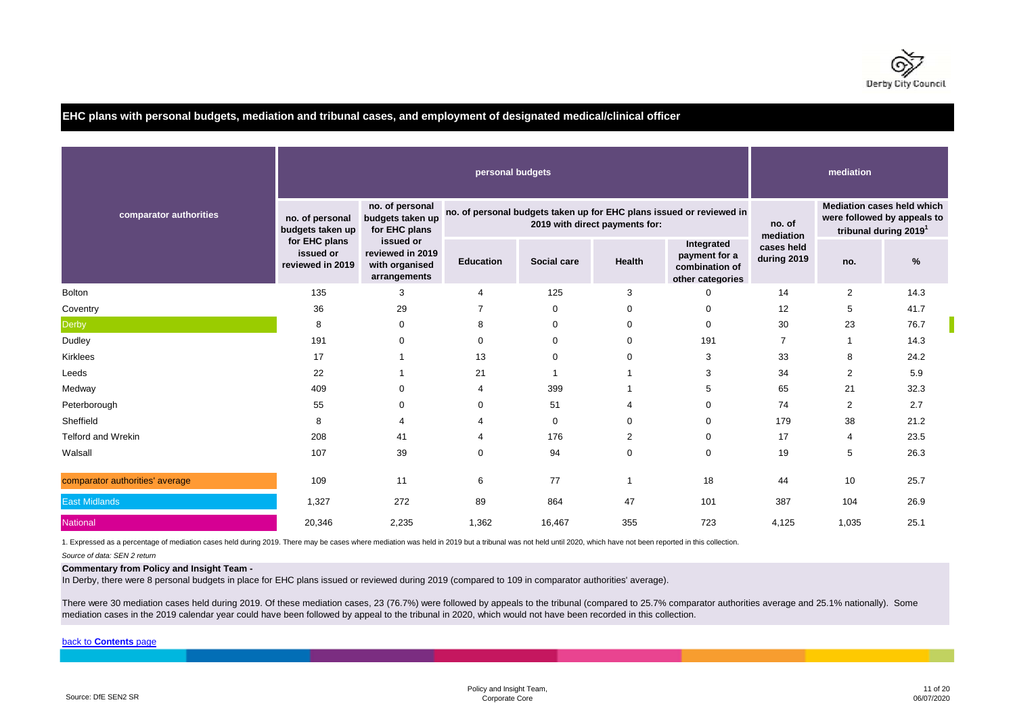

# **EHC plans with personal budgets, mediation and tribunal cases, and employment of designated medical/clinical officer**

|                                 |                                                |                                                                 |                  | mediation<br><b>Mediation cases held which</b> |                                |                                                                      |                           |                                                                  |      |
|---------------------------------|------------------------------------------------|-----------------------------------------------------------------|------------------|------------------------------------------------|--------------------------------|----------------------------------------------------------------------|---------------------------|------------------------------------------------------------------|------|
| comparator authorities          | no. of personal<br>budgets taken up            | no. of personal<br>budgets taken up<br>for EHC plans            |                  |                                                | 2019 with direct payments for: | no. of personal budgets taken up for EHC plans issued or reviewed in | no. of<br>mediation       | were followed by appeals to<br>tribunal during 2019 <sup>1</sup> |      |
|                                 | for EHC plans<br>issued or<br>reviewed in 2019 | issued or<br>reviewed in 2019<br>with organised<br>arrangements | <b>Education</b> | Social care                                    | <b>Health</b>                  | Integrated<br>payment for a<br>combination of<br>other categories    | cases held<br>during 2019 | no.                                                              | %    |
| <b>Bolton</b>                   | 135                                            | 3                                                               | 4                | 125                                            | 3                              | $\mathbf 0$                                                          | 14                        | $\overline{c}$                                                   | 14.3 |
| Coventry                        | 36                                             | 29                                                              | 7                | 0                                              | 0                              | $\mathbf 0$                                                          | 12                        | 5                                                                | 41.7 |
| Derby                           | 8                                              | 0                                                               | 8                | 0                                              | 0                              | 0                                                                    | 30                        | 23                                                               | 76.7 |
| Dudley                          | 191                                            | $\Omega$                                                        | 0                | 0                                              | 0                              | 191                                                                  | $\overline{7}$            | $\mathbf{1}$                                                     | 14.3 |
| <b>Kirklees</b>                 | 17                                             |                                                                 | 13               | $\Omega$                                       | 0                              | 3                                                                    | 33                        | 8                                                                | 24.2 |
| Leeds                           | 22                                             |                                                                 | 21               |                                                |                                | 3                                                                    | 34                        | $\overline{c}$                                                   | 5.9  |
| Medway                          | 409                                            | $\Omega$                                                        | 4                | 399                                            |                                | 5                                                                    | 65                        | 21                                                               | 32.3 |
| Peterborough                    | 55                                             | $\Omega$                                                        | 0                | 51                                             | 4                              | $\Omega$                                                             | 74                        | $\overline{2}$                                                   | 2.7  |
| Sheffield                       | 8                                              | 4                                                               | 4                | $\mathbf 0$                                    | $\mathbf 0$                    | $\mathbf 0$                                                          | 179                       | 38                                                               | 21.2 |
| <b>Telford and Wrekin</b>       | 208                                            | 41                                                              | 4                | 176                                            | $\overline{2}$                 | 0                                                                    | 17                        | 4                                                                | 23.5 |
| Walsall                         | 107                                            | 39                                                              | 0                | 94                                             | $\mathbf 0$                    | $\mathbf 0$                                                          | 19                        | 5                                                                | 26.3 |
| comparator authorities' average | 109                                            | 11                                                              | 6                | 77                                             |                                | 18                                                                   | 44                        | 10                                                               | 25.7 |
| <b>East Midlands</b>            | 1,327                                          | 272                                                             | 89               | 864                                            | 47                             | 101                                                                  | 387                       | 104                                                              | 26.9 |
| <b>National</b>                 | 20,346                                         | 2,235                                                           | 1,362            | 16,467                                         | 355                            | 723                                                                  | 4,125                     | 1,035                                                            | 25.1 |

1. Expressed as a percentage of mediation cases held during 2019. There may be cases where mediation was held in 2019 but a tribunal was not held until 2020, which have not been reported in this collection.

*Source of data: SEN 2 return*

#### **Commentary from Policy and Insight Team -**

In Derby, there were 8 personal budgets in place for EHC plans issued or reviewed during 2019 (compared to 109 in comparator authorities' average).

There were 30 mediation cases held during 2019. Of these mediation cases, 23 (76.7%) were followed by appeals to the tribunal (compared to 25.7% comparator authorities average and 25.1% nationally). Some mediation cases in the 2019 calendar year could have been followed by appeal to the tribunal in 2020, which would not have been recorded in this collection.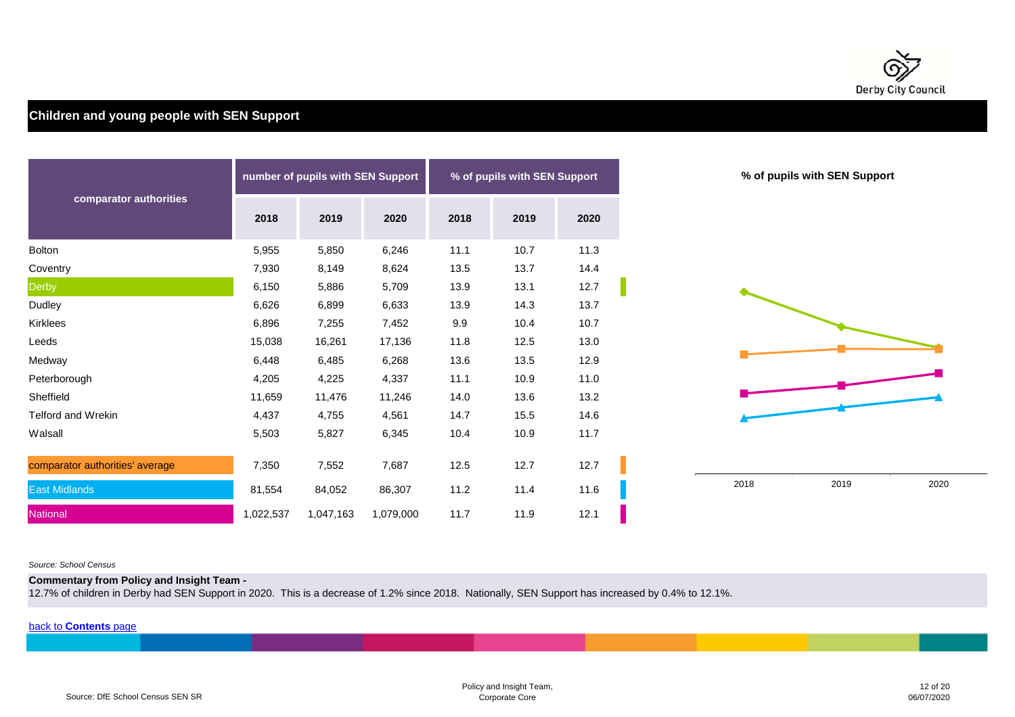

# **Children and young people with SEN Support**

|                                 |           | number of pupils with SEN Support |           |      | % of pupils with SEN Support |      |
|---------------------------------|-----------|-----------------------------------|-----------|------|------------------------------|------|
| comparator authorities          | 2018      | 2019                              | 2020      | 2018 | 2019                         | 2020 |
| Bolton                          | 5,955     | 5,850                             | 6,246     | 11.1 | 10.7                         | 11.3 |
| Coventry                        | 7,930     | 8,149                             | 8,624     | 13.5 | 13.7                         | 14.4 |
| Derby                           | 6,150     | 5,886                             | 5,709     | 13.9 | 13.1                         | 12.7 |
| Dudley                          | 6,626     | 6,899                             | 6,633     | 13.9 | 14.3                         | 13.7 |
| Kirklees                        | 6,896     | 7,255                             | 7,452     | 9.9  | 10.4                         | 10.7 |
| Leeds                           | 15,038    | 16,261                            | 17,136    | 11.8 | 12.5                         | 13.0 |
| Medway                          | 6,448     | 6,485                             | 6,268     | 13.6 | 13.5                         | 12.9 |
| Peterborough                    | 4,205     | 4,225                             | 4,337     | 11.1 | 10.9                         | 11.0 |
| Sheffield                       | 11,659    | 11,476                            | 11,246    | 14.0 | 13.6                         | 13.2 |
| Telford and Wrekin              | 4,437     | 4,755                             | 4,561     | 14.7 | 15.5                         | 14.6 |
| Walsall                         | 5,503     | 5,827                             | 6,345     | 10.4 | 10.9                         | 11.7 |
| comparator authorities' average | 7,350     | 7,552                             | 7,687     | 12.5 | 12.7                         | 12.7 |
| <b>East Midlands</b>            | 81,554    | 84,052                            | 86,307    | 11.2 | 11.4                         | 11.6 |
| National                        | 1,022,537 | 1,047,163                         | 1,079,000 | 11.7 | 11.9                         | 12.1 |

#### *Source: School Census*

**Commentary from Policy and Insight Team -** 

12.7% of children in Derby had SEN Support in 2020. This is a decrease of 1.2% since 2018. Nationally, SEN Support has increased by 0.4% to 12.1%.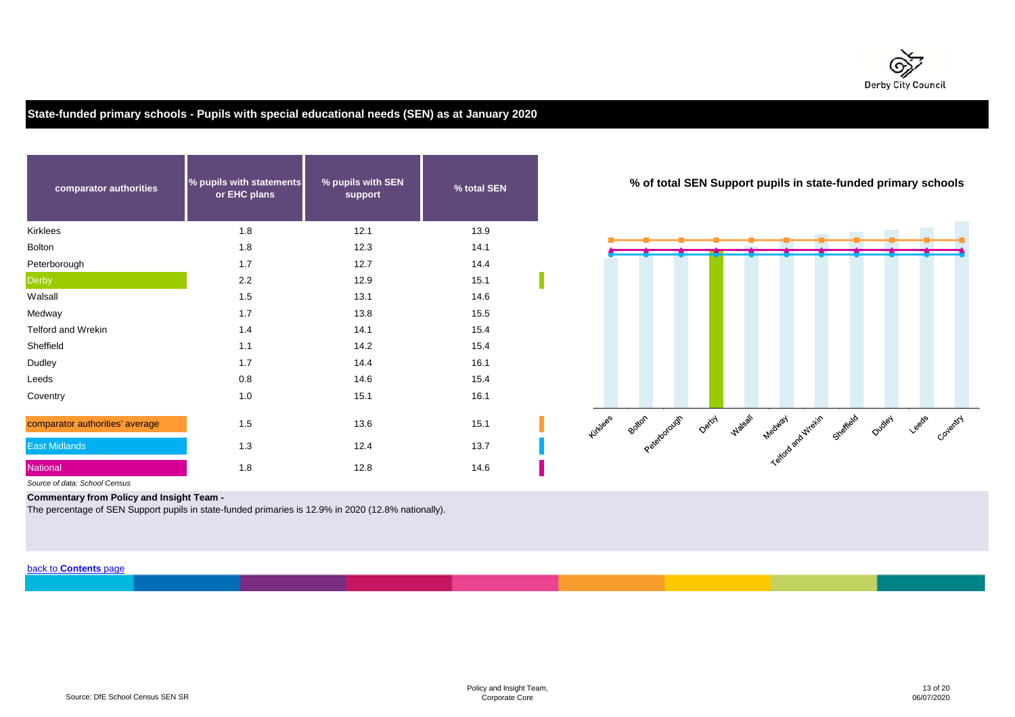

# **State-funded primary schools - Pupils with special educational needs (SEN) as at January 2020**

| comparator authorities          | % pupils with statements<br>or EHC plans | % pupils with SEN<br>support | % total SEN | % of total SEN Suppo                               |
|---------------------------------|------------------------------------------|------------------------------|-------------|----------------------------------------------------|
| Kirklees                        | 1.8                                      | 12.1                         | 13.9        |                                                    |
| <b>Bolton</b>                   | 1.8                                      | 12.3                         | 14.1        |                                                    |
| Peterborough                    | 1.7                                      | 12.7                         | 14.4        |                                                    |
| <b>Derby</b>                    | 2.2                                      | 12.9                         | 15.1        |                                                    |
| Walsall                         | 1.5                                      | 13.1                         | 14.6        |                                                    |
| Medway                          | 1.7                                      | 13.8                         | 15.5        |                                                    |
| <b>Telford and Wrekin</b>       | 1.4                                      | 14.1                         | 15.4        |                                                    |
| Sheffield                       | 1.1                                      | 14.2                         | 15.4        |                                                    |
| Dudley                          | 1.7                                      | 14.4                         | 16.1        |                                                    |
| Leeds                           | 0.8                                      | 14.6                         | 15.4        |                                                    |
| Coventry                        | 1.0                                      | 15.1                         | 16.1        |                                                    |
| comparator authorities' average | 1.5                                      | 13.6                         | 15.1        | Kirklees<br>Patien Peterozouar Oetay<br><b>Max</b> |
| <b>East Midlands</b>            | 1.3                                      | 12.4                         | 13.7        |                                                    |
| National                        | 1.8                                      | 12.8                         | 14.6        |                                                    |

**% of total SEN Support pupils in state-funded primary schools**



*Source of data: School Census*

**Commentary from Policy and Insight Team -** 

The percentage of SEN Support pupils in state-funded primaries is 12.9% in 2020 (12.8% nationally).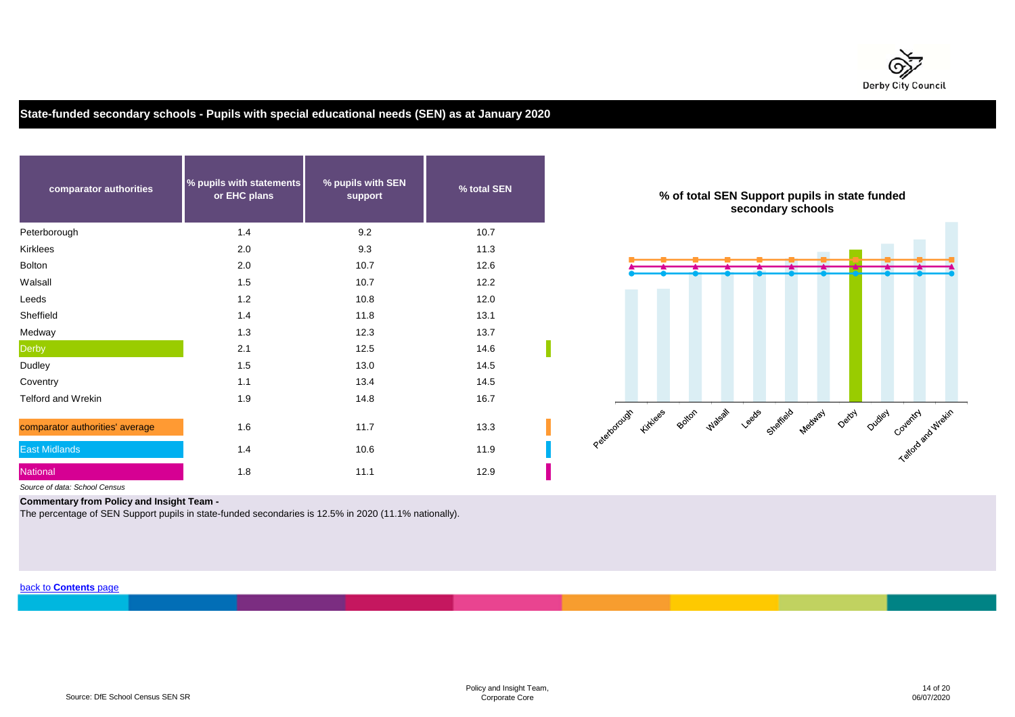

# **State-funded secondary schools - Pupils with special educational needs (SEN) as at January 2020**

| comparator authorities          | % pupils with statements<br>or EHC plans | % pupils with SEN<br>support | % total SEN | % of total SEN S<br>sec                  |
|---------------------------------|------------------------------------------|------------------------------|-------------|------------------------------------------|
| Peterborough                    | 1.4                                      | 9.2                          | 10.7        |                                          |
| Kirklees                        | 2.0                                      | 9.3                          | 11.3        |                                          |
| <b>Bolton</b>                   | 2.0                                      | 10.7                         | 12.6        |                                          |
| Walsall                         | 1.5                                      | 10.7                         | 12.2        |                                          |
| Leeds                           | 1.2                                      | 10.8                         | 12.0        |                                          |
| Sheffield                       | 1.4                                      | 11.8                         | 13.1        |                                          |
| Medway                          | 1.3                                      | 12.3                         | 13.7        |                                          |
| <b>Derby</b>                    | 2.1                                      | 12.5                         | 14.6        |                                          |
| Dudley                          | 1.5                                      | 13.0                         | 14.5        |                                          |
| Coventry                        | 1.1                                      | 13.4                         | 14.5        |                                          |
| <b>Telford and Wrekin</b>       | 1.9                                      | 14.8                         | 16.7        |                                          |
| comparator authorities' average | 1.6                                      | 11.7                         | 13.3        | Peterology for equal these<br>$\sqrt{ }$ |
| <b>East Midlands</b>            | 1.4                                      | 10.6                         | 11.9        |                                          |
| National                        | 1.8                                      | 11.1                         | 12.9        |                                          |



*Source of data: School Census*

**Commentary from Policy and Insight Team -** 

The percentage of SEN Support pupils in state-funded secondaries is 12.5% in 2020 (11.1% nationally).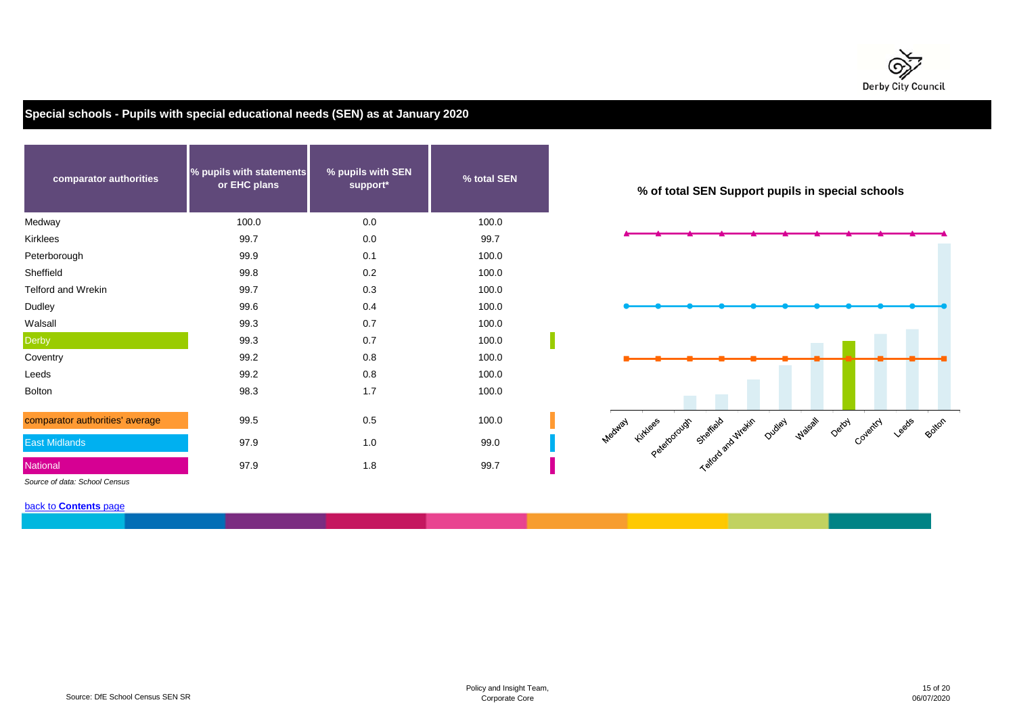

**Special schools - Pupils with special educational needs (SEN) as at January 2020**

| comparator authorities          | % pupils with statements<br>or EHC plans | % pupils with SEN<br>support* | % total SEN | % of total SEN Supp                        |
|---------------------------------|------------------------------------------|-------------------------------|-------------|--------------------------------------------|
| Medway                          | 100.0                                    | 0.0                           | 100.0       |                                            |
| <b>Kirklees</b>                 | 99.7                                     | 0.0                           | 99.7        |                                            |
| Peterborough                    | 99.9                                     | 0.1                           | 100.0       |                                            |
| Sheffield                       | 99.8                                     | 0.2                           | 100.0       |                                            |
| <b>Telford and Wrekin</b>       | 99.7                                     | 0.3                           | 100.0       |                                            |
| Dudley                          | 99.6                                     | 0.4                           | 100.0       |                                            |
| Walsall                         | 99.3                                     | 0.7                           | 100.0       |                                            |
| <b>Derby</b>                    | 99.3                                     | 0.7                           | 100.0       |                                            |
| Coventry                        | 99.2                                     | 0.8                           | 100.0       |                                            |
| Leeds                           | 99.2                                     | 0.8                           | 100.0       |                                            |
| <b>Bolton</b>                   | 98.3                                     | 1.7                           | 100.0       |                                            |
| comparator authorities' average | 99.5                                     | 0.5                           | 100.0       | Medited Kitlee's cloud out of state artist |
| <b>East Midlands</b>            | 97.9                                     | 1.0                           | 99.0        |                                            |
| National                        | 97.9                                     | 1.8                           | 99.7        |                                            |

**% of total SEN Support pupils in special schools**



*Source of data: School Census*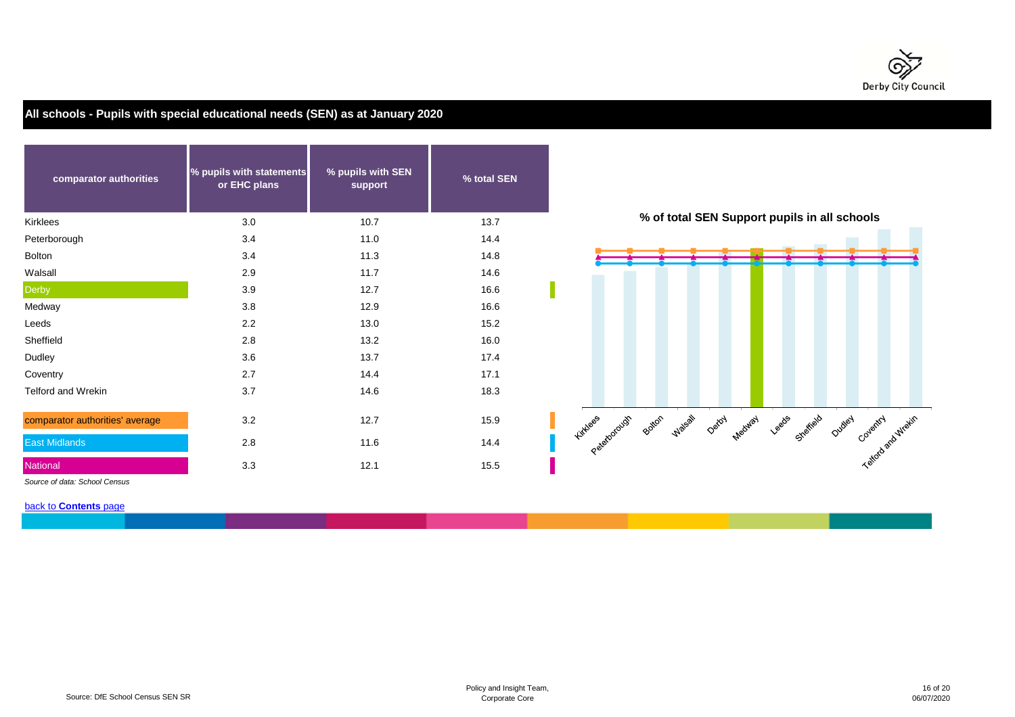

**All schools - Pupils with special educational needs (SEN) as at January 2020**

| comparator authorities          | % pupils with statements<br>or EHC plans | % pupils with SEN<br>support | % total SEN |                                          |
|---------------------------------|------------------------------------------|------------------------------|-------------|------------------------------------------|
| Kirklees                        | 3.0                                      | 10.7                         | 13.7        | % of total SEN Sup                       |
| Peterborough                    | 3.4                                      | 11.0                         | 14.4        |                                          |
| Bolton                          | 3.4                                      | 11.3                         | 14.8        |                                          |
| Walsall                         | 2.9                                      | 11.7                         | 14.6        |                                          |
| Derby                           | 3.9                                      | 12.7                         | 16.6        |                                          |
| Medway                          | 3.8                                      | 12.9                         | 16.6        |                                          |
| Leeds                           | 2.2                                      | 13.0                         | 15.2        |                                          |
| Sheffield                       | 2.8                                      | 13.2                         | 16.0        |                                          |
| Dudley                          | 3.6                                      | 13.7                         | 17.4        |                                          |
| Coventry                        | 2.7                                      | 14.4                         | 17.1        |                                          |
| Telford and Wrekin              | 3.7                                      | 14.6                         | 18.3        |                                          |
| comparator authorities' average | 3.2                                      | 12.7                         | 15.9        | Passionage solid place a<br>Detay<br>Mer |
| <b>East Midlands</b>            | 2.8                                      | 11.6                         | 14.4        |                                          |
| National                        | 3.3                                      | 12.1                         | 15.5        |                                          |



*Source of data: School Census*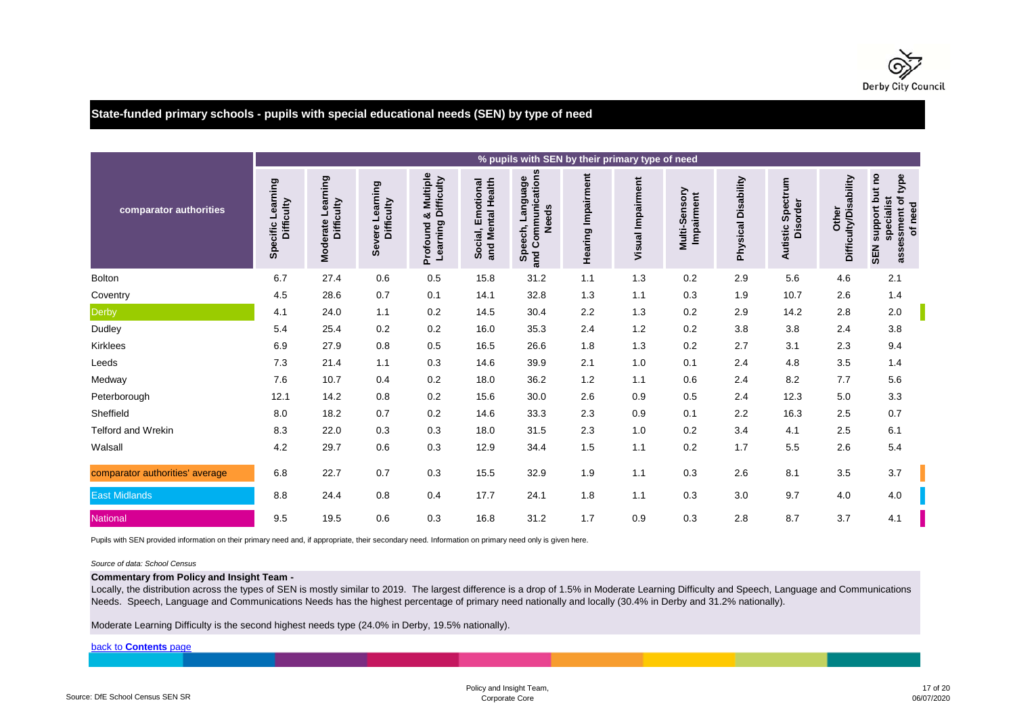

**State-funded primary schools - pupils with special educational needs (SEN) by type of need**

|                                 |                                 |                                    |                               |                                                         |                                           | % pupils with SEN by their primary type of need                     |                    |                   |                             |                     |                                  |                                       |                                                                                |
|---------------------------------|---------------------------------|------------------------------------|-------------------------------|---------------------------------------------------------|-------------------------------------------|---------------------------------------------------------------------|--------------------|-------------------|-----------------------------|---------------------|----------------------------------|---------------------------------------|--------------------------------------------------------------------------------|
| comparator authorities          | Specific Learning<br>Difficulty | Learning<br>Difficulty<br>Moderate | Severe Learning<br>Difficulty | Multiple<br><b>Learning Difficulty</b><br>ೲ<br>Profound | and Mental Health<br>Emotional<br>Social, | Communications<br><b>Panguage</b><br><b>Needs</b><br>Speech,<br>and | Hearing Impairment | Visual Impairment | Multi-Sensory<br>Impairment | Physical Disability | Spectrum<br>Disorder<br>Autistic | <b>Difficulty/Disability</b><br>Other | support but no<br>type<br>assessment of<br>specialist<br>of need<br><b>SEN</b> |
| <b>Bolton</b>                   | 6.7                             | 27.4                               | 0.6                           | 0.5                                                     | 15.8                                      | 31.2                                                                | 1.1                | 1.3               | 0.2                         | 2.9                 | 5.6                              | 4.6                                   | 2.1                                                                            |
| Coventry                        | 4.5                             | 28.6                               | 0.7                           | 0.1                                                     | 14.1                                      | 32.8                                                                | 1.3                | 1.1               | 0.3                         | 1.9                 | 10.7                             | 2.6                                   | 1.4                                                                            |
| Derby                           | 4.1                             | 24.0                               | 1.1                           | 0.2                                                     | 14.5                                      | 30.4                                                                | 2.2                | 1.3               | 0.2                         | 2.9                 | 14.2                             | 2.8                                   | 2.0                                                                            |
| Dudley                          | 5.4                             | 25.4                               | 0.2                           | 0.2                                                     | 16.0                                      | 35.3                                                                | 2.4                | 1.2               | 0.2                         | 3.8                 | 3.8                              | 2.4                                   | 3.8                                                                            |
| Kirklees                        | 6.9                             | 27.9                               | 0.8                           | 0.5                                                     | 16.5                                      | 26.6                                                                | 1.8                | 1.3               | 0.2                         | 2.7                 | 3.1                              | 2.3                                   | 9.4                                                                            |
| Leeds                           | 7.3                             | 21.4                               | 1.1                           | 0.3                                                     | 14.6                                      | 39.9                                                                | 2.1                | 1.0               | 0.1                         | 2.4                 | 4.8                              | 3.5                                   | 1.4                                                                            |
| Medway                          | 7.6                             | 10.7                               | 0.4                           | 0.2                                                     | 18.0                                      | 36.2                                                                | 1.2                | 1.1               | 0.6                         | 2.4                 | 8.2                              | 7.7                                   | 5.6                                                                            |
| Peterborough                    | 12.1                            | 14.2                               | 0.8                           | 0.2                                                     | 15.6                                      | 30.0                                                                | 2.6                | 0.9               | 0.5                         | 2.4                 | 12.3                             | 5.0                                   | 3.3                                                                            |
| Sheffield                       | 8.0                             | 18.2                               | 0.7                           | 0.2                                                     | 14.6                                      | 33.3                                                                | 2.3                | 0.9               | 0.1                         | 2.2                 | 16.3                             | 2.5                                   | 0.7                                                                            |
| <b>Telford and Wrekin</b>       | 8.3                             | 22.0                               | 0.3                           | 0.3                                                     | 18.0                                      | 31.5                                                                | 2.3                | 1.0               | 0.2                         | 3.4                 | 4.1                              | 2.5                                   | 6.1                                                                            |
| Walsall                         | 4.2                             | 29.7                               | 0.6                           | 0.3                                                     | 12.9                                      | 34.4                                                                | 1.5                | 1.1               | 0.2                         | 1.7                 | 5.5                              | 2.6                                   | 5.4                                                                            |
| comparator authorities' average | 6.8                             | 22.7                               | 0.7                           | 0.3                                                     | 15.5                                      | 32.9                                                                | 1.9                | 1.1               | 0.3                         | 2.6                 | 8.1                              | 3.5                                   | 3.7                                                                            |
| <b>East Midlands</b>            | 8.8                             | 24.4                               | 0.8                           | 0.4                                                     | 17.7                                      | 24.1                                                                | 1.8                | 1.1               | 0.3                         | 3.0                 | 9.7                              | 4.0                                   | 4.0                                                                            |
| National                        | 9.5                             | 19.5                               | 0.6                           | 0.3                                                     | 16.8                                      | 31.2                                                                | 1.7                | 0.9               | 0.3                         | 2.8                 | 8.7                              | 3.7                                   | 4.1                                                                            |

Pupils with SEN provided information on their primary need and, if appropriate, their secondary need. Information on primary need only is given here.

#### *Source of data: School Census*

**Commentary from Policy and Insight Team -** 

Locally, the distribution across the types of SEN is mostly similar to 2019. The largest difference is a drop of 1.5% in Moderate Learning Difficulty and Speech, Language and Communications Needs. Speech, Language and Communications Needs has the highest percentage of primary need nationally and locally (30.4% in Derby and 31.2% nationally).

Moderate Learning Difficulty is the second highest needs type (24.0% in Derby, 19.5% nationally).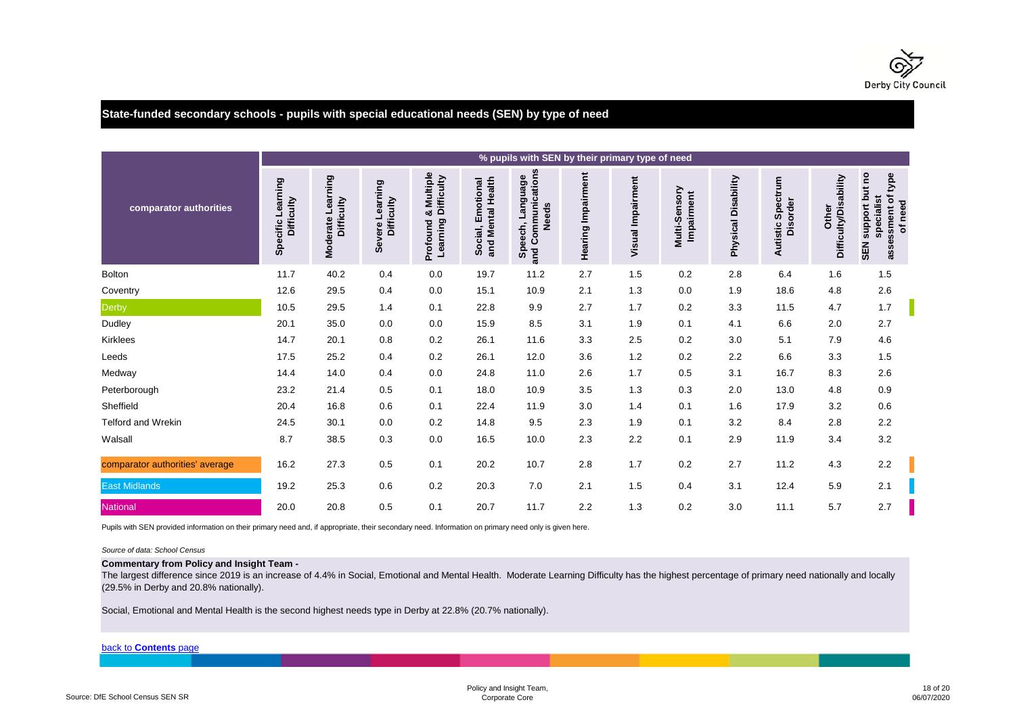

# **State-funded secondary schools - pupils with special educational needs (SEN) by type of need**

|                                 |                                 |                                           |                               |                                                      |                                           | % pupils with SEN by their primary type of need              |                    |                          |                             |                     |                                         |                                       |                                                                                   |
|---------------------------------|---------------------------------|-------------------------------------------|-------------------------------|------------------------------------------------------|-------------------------------------------|--------------------------------------------------------------|--------------------|--------------------------|-----------------------------|---------------------|-----------------------------------------|---------------------------------------|-----------------------------------------------------------------------------------|
| comparator authorities          | Specific Learning<br>Difficulty | Learning<br>Difficulty<br><b>Moderate</b> | Severe Learning<br>Difficulty | & Multiple<br><b>Learning Difficulty</b><br>Profound | and Mental Health<br>Emotional<br>Social, | Communications<br><b>Panguage</b><br>Needs<br>Speech,<br>and | Hearing Impairment | <b>Visual Impairment</b> | Multi-Sensory<br>Impairment | Physical Disability | Spectrum<br><b>Disorder</b><br>Autistic | <b>Difficulty/Disability</b><br>Other | but no<br>type<br>assessment of<br>specialist<br>of need<br>support<br><b>NES</b> |
| <b>Bolton</b>                   | 11.7                            | 40.2                                      | 0.4                           | 0.0                                                  | 19.7                                      | 11.2                                                         | 2.7                | 1.5                      | 0.2                         | 2.8                 | 6.4                                     | 1.6                                   | 1.5                                                                               |
| Coventry                        | 12.6                            | 29.5                                      | 0.4                           | 0.0                                                  | 15.1                                      | 10.9                                                         | 2.1                | 1.3                      | 0.0                         | 1.9                 | 18.6                                    | 4.8                                   | 2.6                                                                               |
| Derby                           | 10.5                            | 29.5                                      | 1.4                           | 0.1                                                  | 22.8                                      | 9.9                                                          | 2.7                | 1.7                      | 0.2                         | 3.3                 | 11.5                                    | 4.7                                   | 1.7                                                                               |
| Dudley                          | 20.1                            | 35.0                                      | 0.0                           | 0.0                                                  | 15.9                                      | 8.5                                                          | 3.1                | 1.9                      | 0.1                         | 4.1                 | 6.6                                     | 2.0                                   | 2.7                                                                               |
| Kirklees                        | 14.7                            | 20.1                                      | 0.8                           | 0.2                                                  | 26.1                                      | 11.6                                                         | 3.3                | 2.5                      | 0.2                         | 3.0                 | 5.1                                     | 7.9                                   | 4.6                                                                               |
| Leeds                           | 17.5                            | 25.2                                      | 0.4                           | 0.2                                                  | 26.1                                      | 12.0                                                         | 3.6                | 1.2                      | 0.2                         | 2.2                 | 6.6                                     | 3.3                                   | 1.5                                                                               |
| Medway                          | 14.4                            | 14.0                                      | 0.4                           | 0.0                                                  | 24.8                                      | 11.0                                                         | 2.6                | 1.7                      | 0.5                         | 3.1                 | 16.7                                    | 8.3                                   | 2.6                                                                               |
| Peterborough                    | 23.2                            | 21.4                                      | 0.5                           | 0.1                                                  | 18.0                                      | 10.9                                                         | 3.5                | 1.3                      | 0.3                         | 2.0                 | 13.0                                    | 4.8                                   | 0.9                                                                               |
| Sheffield                       | 20.4                            | 16.8                                      | 0.6                           | 0.1                                                  | 22.4                                      | 11.9                                                         | 3.0                | 1.4                      | 0.1                         | 1.6                 | 17.9                                    | 3.2                                   | 0.6                                                                               |
| Telford and Wrekin              | 24.5                            | 30.1                                      | 0.0                           | 0.2                                                  | 14.8                                      | 9.5                                                          | 2.3                | 1.9                      | 0.1                         | 3.2                 | 8.4                                     | 2.8                                   | 2.2                                                                               |
| Walsall                         | 8.7                             | 38.5                                      | 0.3                           | 0.0                                                  | 16.5                                      | 10.0                                                         | 2.3                | 2.2                      | 0.1                         | 2.9                 | 11.9                                    | 3.4                                   | 3.2                                                                               |
| comparator authorities' average | 16.2                            | 27.3                                      | 0.5                           | 0.1                                                  | 20.2                                      | 10.7                                                         | 2.8                | 1.7                      | 0.2                         | 2.7                 | 11.2                                    | 4.3                                   | 2.2                                                                               |
| <b>East Midlands</b>            | 19.2                            | 25.3                                      | 0.6                           | 0.2                                                  | 20.3                                      | 7.0                                                          | 2.1                | 1.5                      | 0.4                         | 3.1                 | 12.4                                    | 5.9                                   | 2.1                                                                               |
| <b>National</b>                 | 20.0                            | 20.8                                      | 0.5                           | 0.1                                                  | 20.7                                      | 11.7                                                         | 2.2                | 1.3                      | 0.2                         | 3.0                 | 11.1                                    | 5.7                                   | 2.7                                                                               |

Pupils with SEN provided information on their primary need and, if appropriate, their secondary need. Information on primary need only is given here.

#### *Source of data: School Census*

### **Commentary from Policy and Insight Team -**

The largest difference since 2019 is an increase of 4.4% in Social, Emotional and Mental Health. Moderate Learning Difficulty has the highest percentage of primary need nationally and locally (29.5% in Derby and 20.8% nationally).

Social, Emotional and Mental Health is the second highest needs type in Derby at 22.8% (20.7% nationally).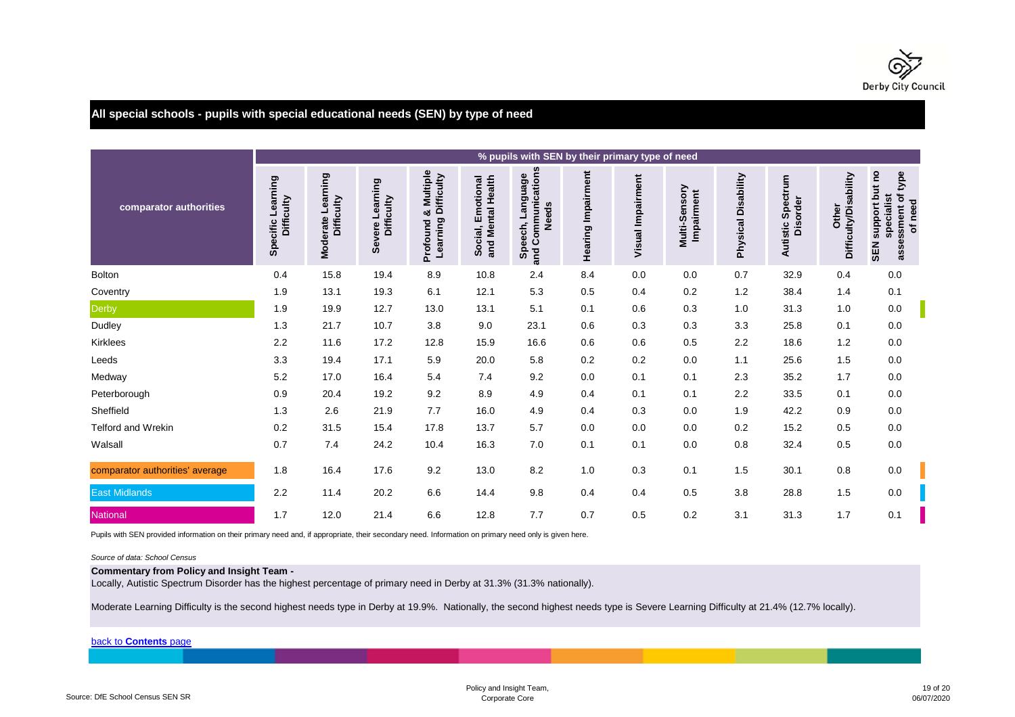

# **All special schools - pupils with special educational needs (SEN) by type of need**

|                                 |                                 |                                        |                               |                                                         |                                           | % pupils with SEN by their primary type of need           |                    |                   |                             |                     |                                         |                                       |                                                                      |
|---------------------------------|---------------------------------|----------------------------------------|-------------------------------|---------------------------------------------------------|-------------------------------------------|-----------------------------------------------------------|--------------------|-------------------|-----------------------------|---------------------|-----------------------------------------|---------------------------------------|----------------------------------------------------------------------|
| comparator authorities          | Specific Learning<br>Difficulty | earning<br>Difficulty<br>ᆜ<br>Moderate | Severe Learning<br>Difficulty | Multiple<br><b>Learning Difficulty</b><br>ಯ<br>Profound | and Mental Health<br>Emotional<br>Social, | Communications<br>Speech, Language<br><b>Needs</b><br>and | Hearing Impairment | Visual Impairment | Multi-Sensory<br>Impairment | Physical Disability | Spectrum<br><b>Disorder</b><br>Autistic | <b>Difficulty/Disability</b><br>Other | SEN support but no<br>type<br>assessment of<br>specialist<br>of need |
| <b>Bolton</b>                   | 0.4                             | 15.8                                   | 19.4                          | 8.9                                                     | 10.8                                      | 2.4                                                       | 8.4                | 0.0               | 0.0                         | 0.7                 | 32.9                                    | 0.4                                   | 0.0                                                                  |
| Coventry                        | 1.9                             | 13.1                                   | 19.3                          | 6.1                                                     | 12.1                                      | 5.3                                                       | 0.5                | 0.4               | 0.2                         | 1.2                 | 38.4                                    | 1.4                                   | 0.1                                                                  |
| Derby                           | 1.9                             | 19.9                                   | 12.7                          | 13.0                                                    | 13.1                                      | 5.1                                                       | 0.1                | 0.6               | 0.3                         | 1.0                 | 31.3                                    | 1.0                                   | 0.0                                                                  |
| Dudley                          | 1.3                             | 21.7                                   | 10.7                          | 3.8                                                     | 9.0                                       | 23.1                                                      | 0.6                | 0.3               | 0.3                         | 3.3                 | 25.8                                    | 0.1                                   | 0.0                                                                  |
| Kirklees                        | 2.2                             | 11.6                                   | 17.2                          | 12.8                                                    | 15.9                                      | 16.6                                                      | 0.6                | 0.6               | 0.5                         | 2.2                 | 18.6                                    | 1.2                                   | 0.0                                                                  |
| Leeds                           | 3.3                             | 19.4                                   | 17.1                          | 5.9                                                     | 20.0                                      | 5.8                                                       | 0.2                | 0.2               | 0.0                         | 1.1                 | 25.6                                    | 1.5                                   | 0.0                                                                  |
| Medway                          | 5.2                             | 17.0                                   | 16.4                          | 5.4                                                     | 7.4                                       | 9.2                                                       | 0.0                | 0.1               | 0.1                         | 2.3                 | 35.2                                    | 1.7                                   | 0.0                                                                  |
| Peterborough                    | 0.9                             | 20.4                                   | 19.2                          | 9.2                                                     | 8.9                                       | 4.9                                                       | 0.4                | 0.1               | 0.1                         | 2.2                 | 33.5                                    | 0.1                                   | 0.0                                                                  |
| Sheffield                       | 1.3                             | 2.6                                    | 21.9                          | 7.7                                                     | 16.0                                      | 4.9                                                       | 0.4                | 0.3               | 0.0                         | 1.9                 | 42.2                                    | 0.9                                   | 0.0                                                                  |
| <b>Telford and Wrekin</b>       | 0.2                             | 31.5                                   | 15.4                          | 17.8                                                    | 13.7                                      | 5.7                                                       | 0.0                | 0.0               | 0.0                         | 0.2                 | 15.2                                    | 0.5                                   | 0.0                                                                  |
| Walsall                         | 0.7                             | 7.4                                    | 24.2                          | 10.4                                                    | 16.3                                      | 7.0                                                       | 0.1                | 0.1               | 0.0                         | 0.8                 | 32.4                                    | $0.5\,$                               | 0.0                                                                  |
| comparator authorities' average | 1.8                             | 16.4                                   | 17.6                          | 9.2                                                     | 13.0                                      | 8.2                                                       | 1.0                | 0.3               | 0.1                         | 1.5                 | 30.1                                    | 0.8                                   | 0.0                                                                  |
| <b>East Midlands</b>            | 2.2                             | 11.4                                   | 20.2                          | 6.6                                                     | 14.4                                      | 9.8                                                       | 0.4                | 0.4               | 0.5                         | 3.8                 | 28.8                                    | 1.5                                   | 0.0                                                                  |
| National                        | 1.7                             | 12.0                                   | 21.4                          | 6.6                                                     | 12.8                                      | 7.7                                                       | 0.7                | 0.5               | 0.2                         | 3.1                 | 31.3                                    | 1.7                                   | 0.1                                                                  |

Pupils with SEN provided information on their primary need and, if appropriate, their secondary need. Information on primary need only is given here.

#### *Source of data: School Census*

## **Commentary from Policy and Insight Team -**

Locally, Autistic Spectrum Disorder has the highest percentage of primary need in Derby at 31.3% (31.3% nationally).

Moderate Learning Difficulty is the second highest needs type in Derby at 19.9%. Nationally, the second highest needs type is Severe Learning Difficulty at 21.4% (12.7% locally).